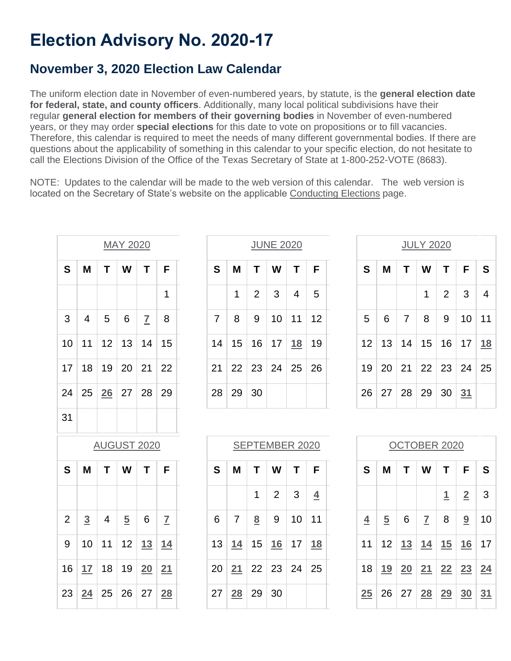# **Election Advisory No. 2020-17**

## **November 3, 2020 Election Law Calendar**

The uniform election date in November of even-numbered years, by statute, is the **general election date for federal, state, and county officers**. Additionally, many local political subdivisions have their regular **general election for members of their governing bodies** in November of even-numbered years, or they may order **special elections** for this date to vote on propositions or to fill vacancies. Therefore, this calendar is required to meet the needs of many different governmental bodies. If there are questions about the applicability of something in this calendar to your specific election, do not hesitate to call the Elections Division of the Office of the Texas Secretary of State at 1-800-252-VOTE (8683).

NOTE: Updates to the calendar will be made to the web version of this calendar. The web version is located on the Secretary of State's website on the applicable [Conducting Elections](https://www.sos.texas.gov/elections/conducting/index.shtml) page.

| <b>MAY 2020</b>    |                |                |                |                         | <b>JUNE 2020</b> |  |                |                |                 |                | <b>JULY 2020</b> |                |  |                |                |                |                |                |                |    |
|--------------------|----------------|----------------|----------------|-------------------------|------------------|--|----------------|----------------|-----------------|----------------|------------------|----------------|--|----------------|----------------|----------------|----------------|----------------|----------------|----|
| S                  | M              | T              | W              | T                       | F                |  | S              | M              | T               | W              | T                | F              |  | S              | M              | T              | W              | T              | F              |    |
|                    |                |                |                |                         | 1                |  |                | 1              | $\overline{2}$  | 3              | $\overline{4}$   | 5              |  |                |                |                | 1              | $\overline{2}$ | 3              |    |
| 3                  | 4              | 5              | 6              | $\overline{\mathbf{I}}$ | 8                |  | $\overline{7}$ | 8              | 9               | 10             | 11               | 12             |  | 5              | 6              | $\overline{7}$ | 8              | 9              | 10             |    |
| 10                 | 11             | 12             | 13             | 14                      | 15               |  | 14             | 15             | 16              | 17             | 18               | 19             |  | 12             | 13             | 14             | 15             | 16             | 17             |    |
| 17                 | 18             | 19             | 20             | 21                      | 22               |  | 21             | 22             | 23              | 24             | 25               | 26             |  | 19             | 20             | 21             | 22             | 23             | 24             |    |
| 24                 | 25             | 26             | 27             | 28                      | 29               |  | 28             | 29             | 30              |                |                  |                |  | 26             | 27             | 28             | 29             | 30             | 31             |    |
| 31                 |                |                |                |                         |                  |  |                |                |                 |                |                  |                |  |                |                |                |                |                |                |    |
| <b>AUGUST 2020</b> |                |                |                |                         | SEPTEMBER 2020   |  |                |                | OCTOBER 2020    |                |                  |                |  |                |                |                |                |                |                |    |
| S                  | M              | T              | W              | T                       | F                |  | S              | M              | T               | W              | T                | F              |  | $\mathbf{s}$   | M              | T              | W              | T              | F              |    |
|                    |                |                |                |                         |                  |  |                |                | 1               | $\overline{2}$ | 3                | $\overline{4}$ |  |                |                |                |                | <u>1</u>       | $\overline{2}$ |    |
| $\overline{2}$     | $\overline{3}$ | $\overline{4}$ | $\overline{5}$ | 6                       | $\overline{1}$   |  | 6              | $\overline{7}$ | $\underline{8}$ | 9              | 10               | 11             |  | $\overline{4}$ | $\overline{5}$ | 6              | $\overline{1}$ | 8              | 9              |    |
| 9                  | 10             | 11             | 12             | 13                      | 14               |  | 13             | 14             | 15              | <u>16</u>      | 17               | 18             |  | 11             | 12             | 13             | 14             | 15             | 16             |    |
| 16                 | 17             | 18             | 19             | 20                      | 21               |  | 20             | 21             | 22              | 23             | 24               | 25             |  | 18             | <u>19</u>      | 20             | 21             | 22             | 23             | 24 |
| 23                 | 24             | 25             | 26             | 27                      | 28               |  | 27             | <b>28</b>      | 29              | 30             |                  |                |  | 25             | 26             | 27             | 28             | 29             | 30             | 31 |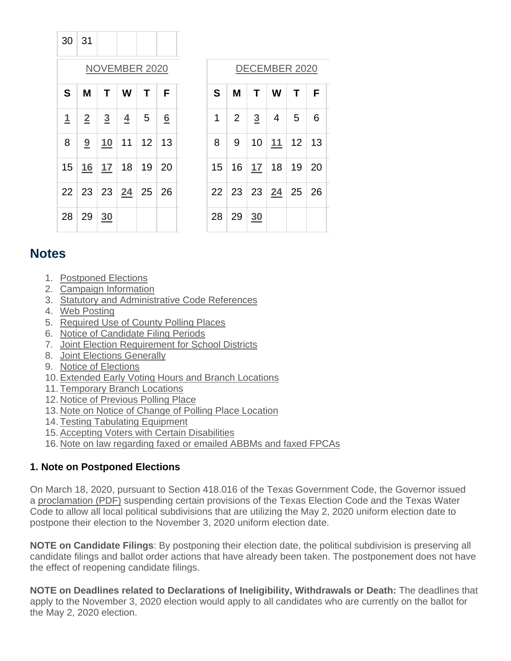| 30   31        |          |                   |                                    |           |   |
|----------------|----------|-------------------|------------------------------------|-----------|---|
|                |          |                   | <b>NOVEMBER 2020</b>               |           |   |
| S              | M        |                   | T   W   T                          |           | F |
| $\overline{1}$ |          | $2 \mid 3 \mid 4$ |                                    | $\vert 5$ | 6 |
| 8              |          |                   | 9   10   11   12   13              |           |   |
|                |          |                   | 15   <u>16   17</u>   18   19   20 |           |   |
|                |          |                   | 22 23 23 24 25 26                  |           |   |
|                | 28 29 30 |                   |                                    |           |   |

## [DECEMBER 2020](https://www.sos.state.tx.us/elections/laws/advisory2020-17.shtml#December)

| S | M              |                | T   W   T   F                      |   |
|---|----------------|----------------|------------------------------------|---|
| 1 | $\overline{2}$ | $\overline{3}$ | $\vert 4 \vert 5 \vert$            | 6 |
| 8 |                |                | 9   10   11   12   13              |   |
|   |                |                | 15   16   <u>17</u>   18   19   20 |   |
|   |                |                | 22 23 23 24 25 26                  |   |
|   | 28   29   30   |                |                                    |   |

## **Notes**

- 1. [Postponed Elections](https://www.sos.state.tx.us/elections/laws/advisory2020-17.shtml#Note1)
- 2. [Campaign Information](https://www.sos.state.tx.us/elections/laws/advisory2020-17.shtml#Note2)
- 3. [Statutory and Administrative Code References](https://www.sos.state.tx.us/elections/laws/advisory2020-17.shtml#Note3)
- 4. [Web Posting](https://www.sos.state.tx.us/elections/laws/advisory2020-17.shtml#Note4)
- 5. [Required Use of County Polling Places](https://www.sos.state.tx.us/elections/laws/advisory2020-17.shtml#Note5)
- 6. [Notice of Candidate Filing Periods](https://www.sos.state.tx.us/elections/laws/advisory2020-17.shtml#Note6)
- 7. [Joint Election Requirement for School Districts](https://www.sos.state.tx.us/elections/laws/advisory2020-17.shtml#Note7)
- 8. [Joint Elections Generally](https://www.sos.state.tx.us/elections/laws/advisory2020-17.shtml#Note8)
- 9. [Notice of Elections](https://www.sos.state.tx.us/elections/laws/advisory2020-17.shtml#Note9)
- 10. [Extended Early Voting Hours and Branch Locations](https://www.sos.state.tx.us/elections/laws/advisory2020-17.shtml#Note10)
- 11. [Temporary Branch Locations](https://www.sos.state.tx.us/elections/laws/advisory2020-17.shtml#Note11)
- 12. [Notice of Previous Polling Place](https://www.sos.state.tx.us/elections/laws/advisory2020-17.shtml#Note12)
- 13. [Note on Notice of Change of Polling Place Location](https://www.sos.state.tx.us/elections/laws/advisory2020-17.shtml#Note13)
- 14. [Testing Tabulating Equipment](https://www.sos.state.tx.us/elections/laws/advisory2020-17.shtml#Note14)
- 15. [Accepting Voters with Certain Disabilities](https://www.sos.state.tx.us/elections/laws/advisory2020-17.shtml#Note15)
- 16. [Note on law regarding faxed or emailed ABBMs and faxed FPCAs](https://www.sos.state.tx.us/elections/laws/advisory2020-17.shtml#Note16)

## **1. Note on Postponed Elections**

On March 18, 2020, pursuant to Section 418.016 of the Texas Government Code, the Governor issued a [proclamation \(PDF\)](https://gov.texas.gov/uploads/files/press/PROC_COVID-19_May_2_Election_Date_IMAGE_03-18-2020.pdf) suspending certain provisions of the Texas Election Code and the Texas Water Code to allow all local political subdivisions that are utilizing the May 2, 2020 uniform election date to postpone their election to the November 3, 2020 uniform election date.

**NOTE on Candidate Filings**: By postponing their election date, the political subdivision is preserving all candidate filings and ballot order actions that have already been taken. The postponement does not have the effect of reopening candidate filings.

**NOTE on Deadlines related to Declarations of Ineligibility, Withdrawals or Death:** The deadlines that apply to the November 3, 2020 election would apply to all candidates who are currently on the ballot for the May 2, 2020 election.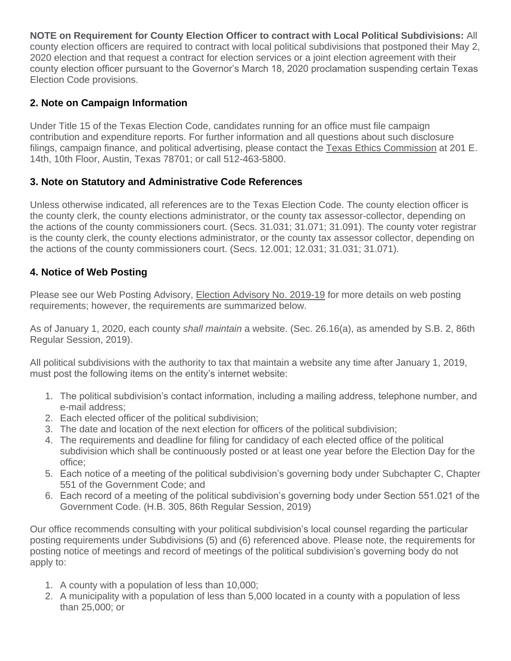**NOTE on Requirement for County Election Officer to contract with Local Political Subdivisions:** All county election officers are required to contract with local political subdivisions that postponed their May 2, 2020 election and that request a contract for election services or a joint election agreement with their county election officer pursuant to the Governor's March 18, 2020 proclamation suspending certain Texas Election Code provisions.

## **2. Note on Campaign Information**

Under Title 15 of the Texas Election Code, candidates running for an office must file campaign contribution and expenditure reports. For further information and all questions about such disclosure filings, campaign finance, and political advertising, please contact the [Texas Ethics Commission](http://www.ethics.state.tx.us/) at 201 E. 14th, 10th Floor, Austin, Texas 78701; or call 512-463-5800.

## **3. Note on Statutory and Administrative Code References**

Unless otherwise indicated, all references are to the Texas Election Code. The county election officer is the county clerk, the county elections administrator, or the county tax assessor-collector, depending on the actions of the county commissioners court. (Secs. 31.031; 31.071; 31.091). The county voter registrar is the county clerk, the county elections administrator, or the county tax assessor collector, depending on the actions of the county commissioners court. (Secs. 12.001; 12.031; 31.031; 31.071).

## **4. Notice of Web Posting**

Please see our Web Posting Advisory, [Election Advisory No. 2019-19](https://www.sos.texas.gov/elections/laws/advisory2019-19.shtml) for more details on web posting requirements; however, the requirements are summarized below.

As of January 1, 2020, each county *shall maintain* a website. (Sec. 26.16(a), as amended by S.B. 2, 86th Regular Session, 2019).

All political subdivisions with the authority to tax that maintain a website any time after January 1, 2019, must post the following items on the entity's internet website:

- 1. The political subdivision's contact information, including a mailing address, telephone number, and e-mail address;
- 2. Each elected officer of the political subdivision;
- 3. The date and location of the next election for officers of the political subdivision;
- 4. The requirements and deadline for filing for candidacy of each elected office of the political subdivision which shall be continuously posted or at least one year before the Election Day for the office;
- 5. Each notice of a meeting of the political subdivision's governing body under Subchapter C, Chapter 551 of the Government Code; and
- 6. Each record of a meeting of the political subdivision's governing body under Section 551.021 of the Government Code. (H.B. 305, 86th Regular Session, 2019)

Our office recommends consulting with your political subdivision's local counsel regarding the particular posting requirements under Subdivisions (5) and (6) referenced above. Please note, the requirements for posting notice of meetings and record of meetings of the political subdivision's governing body do not apply to:

- 1. A county with a population of less than 10,000;
- 2. A municipality with a population of less than 5,000 located in a county with a population of less than 25,000; or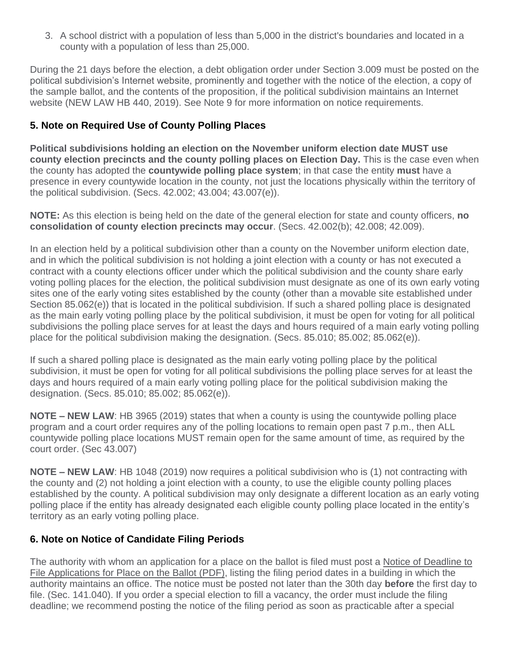3. A school district with a population of less than 5,000 in the district's boundaries and located in a county with a population of less than 25,000.

During the 21 days before the election, a debt obligation order under Section 3.009 must be posted on the political subdivision's Internet website, prominently and together with the notice of the election, a copy of the sample ballot, and the contents of the proposition, if the political subdivision maintains an Internet website (NEW LAW HB 440, 2019). See Note 9 for more information on notice requirements.

## **5. Note on Required Use of County Polling Places**

**Political subdivisions holding an election on the November uniform election date MUST use county election precincts and the county polling places on Election Day.** This is the case even when the county has adopted the **countywide polling place system**; in that case the entity **must** have a presence in every countywide location in the county, not just the locations physically within the territory of the political subdivision. (Secs. 42.002; 43.004; 43.007(e)).

**NOTE:** As this election is being held on the date of the general election for state and county officers, **no consolidation of county election precincts may occur**. (Secs. 42.002(b); 42.008; 42.009).

In an election held by a political subdivision other than a county on the November uniform election date, and in which the political subdivision is not holding a joint election with a county or has not executed a contract with a county elections officer under which the political subdivision and the county share early voting polling places for the election, the political subdivision must designate as one of its own early voting sites one of the early voting sites established by the county (other than a movable site established under Section 85.062(e)) that is located in the political subdivision. If such a shared polling place is designated as the main early voting polling place by the political subdivision, it must be open for voting for all political subdivisions the polling place serves for at least the days and hours required of a main early voting polling place for the political subdivision making the designation. (Secs. 85.010; 85.002; 85.062(e)).

If such a shared polling place is designated as the main early voting polling place by the political subdivision, it must be open for voting for all political subdivisions the polling place serves for at least the days and hours required of a main early voting polling place for the political subdivision making the designation. (Secs. 85.010; 85.002; 85.062(e)).

**NOTE – NEW LAW**: HB 3965 (2019) states that when a county is using the countywide polling place program and a court order requires any of the polling locations to remain open past 7 p.m., then ALL countywide polling place locations MUST remain open for the same amount of time, as required by the court order. (Sec 43.007)

**NOTE – NEW LAW**: HB 1048 (2019) now requires a political subdivision who is (1) not contracting with the county and (2) not holding a joint election with a county, to use the eligible county polling places established by the county. A political subdivision may only designate a different location as an early voting polling place if the entity has already designated each eligible county polling place located in the entity's territory as an early voting polling place.

## **6. Note on Notice of Candidate Filing Periods**

The authority with whom an application for a place on the ballot is filed must post a [Notice of Deadline to](http://www.sos.texas.gov/elections/forms/pol-sub/3-2af.pdf)  [File Applications for Place on the Ballot \(PDF\),](http://www.sos.texas.gov/elections/forms/pol-sub/3-2af.pdf) listing the filing period dates in a building in which the authority maintains an office. The notice must be posted not later than the 30th day **before** the first day to file. (Sec. 141.040). If you order a special election to fill a vacancy, the order must include the filing deadline; we recommend posting the notice of the filing period as soon as practicable after a special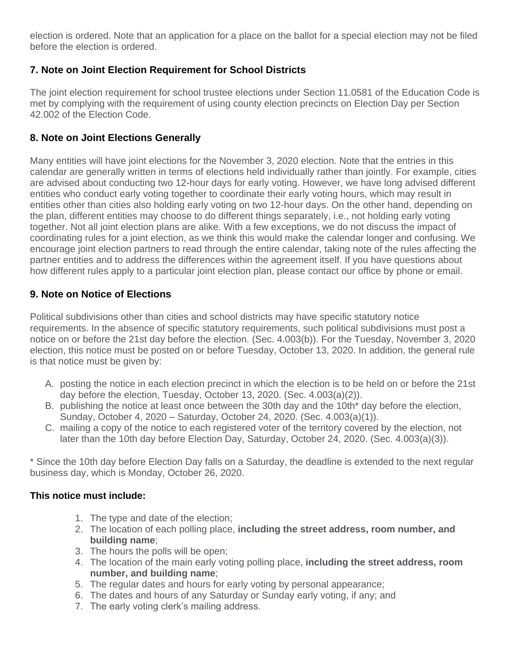election is ordered. Note that an application for a place on the ballot for a special election may not be filed before the election is ordered.

## **7. Note on Joint Election Requirement for School Districts**

The joint election requirement for school trustee elections under Section 11.0581 of the Education Code is met by complying with the requirement of using county election precincts on Election Day per Section 42.002 of the Election Code.

## **8. Note on Joint Elections Generally**

Many entities will have joint elections for the November 3, 2020 election. Note that the entries in this calendar are generally written in terms of elections held individually rather than jointly. For example, cities are advised about conducting two 12-hour days for early voting. However, we have long advised different entities who conduct early voting together to coordinate their early voting hours, which may result in entities other than cities also holding early voting on two 12-hour days. On the other hand, depending on the plan, different entities may choose to do different things separately, i.e., not holding early voting together. Not all joint election plans are alike. With a few exceptions, we do not discuss the impact of coordinating rules for a joint election, as we think this would make the calendar longer and confusing. We encourage joint election partners to read through the entire calendar, taking note of the rules affecting the partner entities and to address the differences within the agreement itself. If you have questions about how different rules apply to a particular joint election plan, please contact our office by phone or email.

## **9. Note on Notice of Elections**

Political subdivisions other than cities and school districts may have specific statutory notice requirements. In the absence of specific statutory requirements, such political subdivisions must post a notice on or before the 21st day before the election. (Sec. 4.003(b)). For the Tuesday, November 3, 2020 election, this notice must be posted on or before Tuesday, October 13, 2020. In addition, the general rule is that notice must be given by:

- A. posting the notice in each election precinct in which the election is to be held on or before the 21st day before the election, Tuesday, October 13, 2020. (Sec. 4.003(a)(2)).
- B. publishing the notice at least once between the 30th day and the 10th\* day before the election, Sunday, October 4, 2020 – Saturday, October 24, 2020. (Sec. 4.003(a)(1)).
- C. mailing a copy of the notice to each registered voter of the territory covered by the election, not later than the 10th day before Election Day, Saturday, October 24, 2020. (Sec. 4.003(a)(3)).

\* Since the 10th day before Election Day falls on a Saturday, the deadline is extended to the next regular business day, which is Monday, October 26, 2020.

## **This notice must include:**

- 1. The type and date of the election;
- 2. The location of each polling place, **including the street address, room number, and building name**;
- 3. The hours the polls will be open;
- 4. The location of the main early voting polling place, **including the street address, room number, and building name**;
- 5. The regular dates and hours for early voting by personal appearance;
- 6. The dates and hours of any Saturday or Sunday early voting, if any; and
- 7. The early voting clerk's mailing address.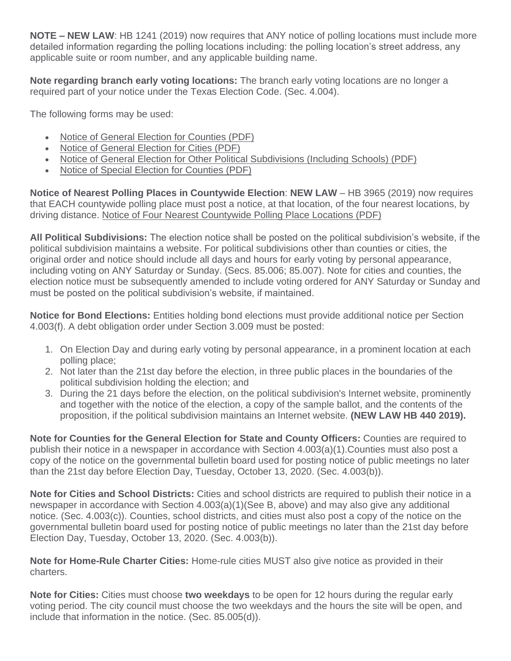**NOTE – NEW LAW**: HB 1241 (2019) now requires that ANY notice of polling locations must include more detailed information regarding the polling locations including: the polling location's street address, any applicable suite or room number, and any applicable building name.

**Note regarding branch early voting locations:** The branch early voting locations are no longer a required part of your notice under the Texas Election Code. (Sec. 4.004).

The following forms may be used:

- [Notice of General Election for Counties \(PDF\)](http://www.sos.texas.gov/elections/forms/pol-sub/1-7f.pdf)
- [Notice of General Election for Cities \(PDF\)](http://www.sos.texas.gov/elections/forms/pol-sub/1-10f.pdf)
- [Notice of General Election for Other Political Subdivisions \(Including Schools\) \(PDF\)](http://www.sos.texas.gov/elections/forms/pol-sub/1-11f.pdf)
- [Notice of Special Election for Counties \(PDF\)](http://www.sos.texas.gov/elections/forms/pol-sub/1-8f.pdf)

**Notice of Nearest Polling Places in Countywide Election**: **NEW LAW** – HB 3965 (2019) now requires that EACH countywide polling place must post a notice, at that location, of the four nearest locations, by driving distance. [Notice of Four Nearest Countywide Polling Place Locations \(PDF\)](https://www.sos.texas.gov/elections/forms/pol-sub/1-16f.pdf)

**All Political Subdivisions:** The election notice shall be posted on the political subdivision's website, if the political subdivision maintains a website. For political subdivisions other than counties or cities, the original order and notice should include all days and hours for early voting by personal appearance, including voting on ANY Saturday or Sunday. (Secs. 85.006; 85.007). Note for cities and counties, the election notice must be subsequently amended to include voting ordered for ANY Saturday or Sunday and must be posted on the political subdivision's website, if maintained.

**Notice for Bond Elections:** Entities holding bond elections must provide additional notice per Section 4.003(f). A debt obligation order under Section 3.009 must be posted:

- 1. On Election Day and during early voting by personal appearance, in a prominent location at each polling place;
- 2. Not later than the 21st day before the election, in three public places in the boundaries of the political subdivision holding the election; and
- 3. During the 21 days before the election, on the political subdivision's Internet website, prominently and together with the notice of the election, a copy of the sample ballot, and the contents of the proposition, if the political subdivision maintains an Internet website. **(NEW LAW HB 440 2019).**

**Note for Counties for the General Election for State and County Officers:** Counties are required to publish their notice in a newspaper in accordance with Section 4.003(a)(1).Counties must also post a copy of the notice on the governmental bulletin board used for posting notice of public meetings no later than the 21st day before Election Day, Tuesday, October 13, 2020. (Sec. 4.003(b)).

**Note for Cities and School Districts:** Cities and school districts are required to publish their notice in a newspaper in accordance with Section 4.003(a)(1)(See B, above) and may also give any additional notice. (Sec. 4.003(c)). Counties, school districts, and cities must also post a copy of the notice on the governmental bulletin board used for posting notice of public meetings no later than the 21st day before Election Day, Tuesday, October 13, 2020. (Sec. 4.003(b)).

**Note for Home-Rule Charter Cities:** Home-rule cities MUST also give notice as provided in their charters.

**Note for Cities:** Cities must choose **two weekdays** to be open for 12 hours during the regular early voting period. The city council must choose the two weekdays and the hours the site will be open, and include that information in the notice. (Sec. 85.005(d)).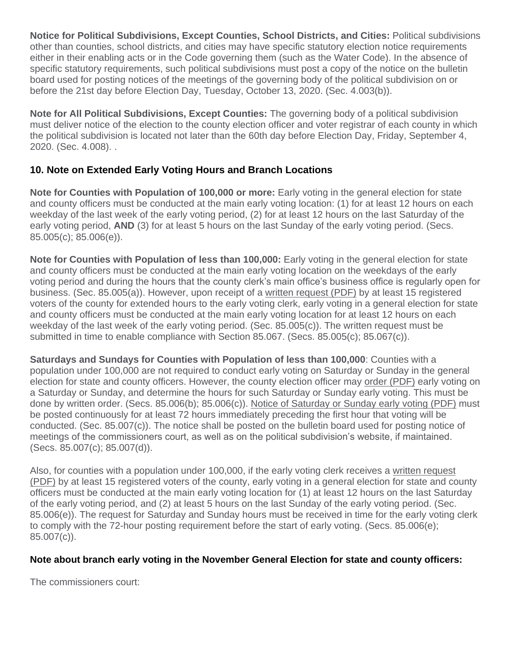**Notice for Political Subdivisions, Except Counties, School Districts, and Cities:** Political subdivisions other than counties, school districts, and cities may have specific statutory election notice requirements either in their enabling acts or in the Code governing them (such as the Water Code). In the absence of specific statutory requirements, such political subdivisions must post a copy of the notice on the bulletin board used for posting notices of the meetings of the governing body of the political subdivision on or before the 21st day before Election Day, Tuesday, October 13, 2020. (Sec. 4.003(b)).

**Note for All Political Subdivisions, Except Counties:** The governing body of a political subdivision must deliver notice of the election to the county election officer and voter registrar of each county in which the political subdivision is located not later than the 60th day before Election Day, Friday, September 4, 2020. (Sec. 4.008). .

## **10. Note on Extended Early Voting Hours and Branch Locations**

**Note for Counties with Population of 100,000 or more:** Early voting in the general election for state and county officers must be conducted at the main early voting location: (1) for at least 12 hours on each weekday of the last week of the early voting period, (2) for at least 12 hours on the last Saturday of the early voting period, **AND** (3) for at least 5 hours on the last Sunday of the early voting period. (Secs. 85.005(c); 85.006(e)).

**Note for Counties with Population of less than 100,000:** Early voting in the general election for state and county officers must be conducted at the main early voting location on the weekdays of the early voting period and during the hours that the county clerk's main office's business office is regularly open for business. (Sec. 85.005(a)). However, upon receipt of a [written request \(PDF\)](http://www.sos.texas.gov/elections/forms/pol-sub/5-50f.pdf) by at least 15 registered voters of the county for extended hours to the early voting clerk, early voting in a general election for state and county officers must be conducted at the main early voting location for at least 12 hours on each weekday of the last week of the early voting period. (Sec. 85.005(c)). The written request must be submitted in time to enable compliance with Section 85.067. (Secs. 85.005(c); 85.067(c)).

**Saturdays and Sundays for Counties with Population of less than 100,000**: Counties with a population under 100,000 are not required to conduct early voting on Saturday or Sunday in the general election for state and county officers. However, the county election officer may [order \(PDF\)](http://www.sos.texas.gov/elections/forms/pol-sub/5-47f.pdf) early voting on a Saturday or Sunday, and determine the hours for such Saturday or Sunday early voting. This must be done by written order. (Secs. 85.006(b); 85.006(c)). [Notice of Saturday or Sunday early voting \(PDF\)](http://www.sos.texas.gov/elections/forms/pol-sub/5-48f.pdf) must be posted continuously for at least 72 hours immediately preceding the first hour that voting will be conducted. (Sec. 85.007(c)). The notice shall be posted on the bulletin board used for posting notice of meetings of the commissioners court, as well as on the political subdivision's website, if maintained. (Secs. 85.007(c); 85.007(d)).

Also, for counties with a population under 100,000, if the early voting clerk receives a [written request](http://www.sos.texas.gov/elections/forms/pol-sub/5-45f.pdf)  [\(PDF\)](http://www.sos.texas.gov/elections/forms/pol-sub/5-45f.pdf) by at least 15 registered voters of the county, early voting in a general election for state and county officers must be conducted at the main early voting location for (1) at least 12 hours on the last Saturday of the early voting period, and (2) at least 5 hours on the last Sunday of the early voting period. (Sec. 85.006(e)). The request for Saturday and Sunday hours must be received in time for the early voting clerk to comply with the 72-hour posting requirement before the start of early voting. (Secs. 85.006(e); 85.007(c)).

## **Note about branch early voting in the November General Election for state and county officers:**

The commissioners court: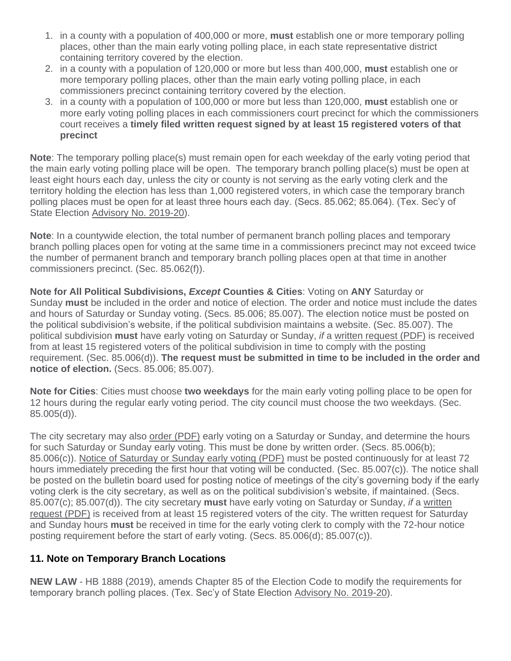- 1. in a county with a population of 400,000 or more, **must** establish one or more temporary polling places, other than the main early voting polling place, in each state representative district containing territory covered by the election.
- 2. in a county with a population of 120,000 or more but less than 400,000, **must** establish one or more temporary polling places, other than the main early voting polling place, in each commissioners precinct containing territory covered by the election.
- 3. in a county with a population of 100,000 or more but less than 120,000, **must** establish one or more early voting polling places in each commissioners court precinct for which the commissioners court receives a **timely filed written request signed by at least 15 registered voters of that precinct**

**Note**: The temporary polling place(s) must remain open for each weekday of the early voting period that the main early voting polling place will be open. The temporary branch polling place(s) must be open at least eight hours each day, unless the city or county is not serving as the early voting clerk and the territory holding the election has less than 1,000 registered voters, in which case the temporary branch polling places must be open for at least three hours each day. (Secs. 85.062; 85.064). (Tex. Sec'y of State Election [Advisory No. 2019-20\)](https://www.sos.texas.gov/elections/laws/advisory2019-20.shtml).

**Note**: In a countywide election, the total number of permanent branch polling places and temporary branch polling places open for voting at the same time in a commissioners precinct may not exceed twice the number of permanent branch and temporary branch polling places open at that time in another commissioners precinct. (Sec. 85.062(f)).

**Note for All Political Subdivisions,** *Except* **Counties & Cities**: Voting on **ANY** Saturday or Sunday **must** be included in the order and notice of election. The order and notice must include the dates and hours of Saturday or Sunday voting. (Secs. 85.006; 85.007). The election notice must be posted on the political subdivision's website, if the political subdivision maintains a website. (Sec. 85.007). The political subdivision **must** have early voting on Saturday or Sunday, *if* a [written request \(PDF\)](http://www.sos.texas.gov/elections/forms/pol-sub/5-46f.pdf) is received from at least 15 registered voters of the political subdivision in time to comply with the posting requirement. (Sec. 85.006(d)). **The request must be submitted in time to be included in the order and notice of election.** (Secs. 85.006; 85.007).

**Note for Cities**: Cities must choose **two weekdays** for the main early voting polling place to be open for 12 hours during the regular early voting period. The city council must choose the two weekdays. (Sec. 85.005(d)).

The city secretary may also [order \(PDF\)](http://www.sos.texas.gov/elections/forms/pol-sub/5-47f.pdf) early voting on a Saturday or Sunday, and determine the hours for such Saturday or Sunday early voting. This must be done by written order. (Secs. 85.006(b); 85.006(c)). [Notice of Saturday or Sunday early voting \(PDF\)](http://www.sos.texas.gov/elections/forms/pol-sub/5-48f.pdf) must be posted continuously for at least 72 hours immediately preceding the first hour that voting will be conducted. (Sec. 85.007(c)). The notice shall be posted on the bulletin board used for posting notice of meetings of the city's governing body if the early voting clerk is the city secretary, as well as on the political subdivision's website, if maintained. (Secs. 85.007(c); 85.007(d)). The city secretary **must** have early voting on Saturday or Sunday, *if* a [written](http://www.sos.state.tx.us/elections/forms/pol-sub/5-45f.pdf)  [request \(PDF\)](http://www.sos.state.tx.us/elections/forms/pol-sub/5-45f.pdf) is received from at least 15 registered voters of the city. The written request for Saturday and Sunday hours **must** be received in time for the early voting clerk to comply with the 72-hour notice posting requirement before the start of early voting. (Secs. 85.006(d); 85.007(c)).

## **11. Note on Temporary Branch Locations**

**NEW LAW** - HB 1888 (2019), amends Chapter 85 of the Election Code to modify the requirements for temporary branch polling places. (Tex. Sec'y of State Election [Advisory No. 2019-20\)](https://www.sos.texas.gov/elections/laws/advisory2019-20.shtml).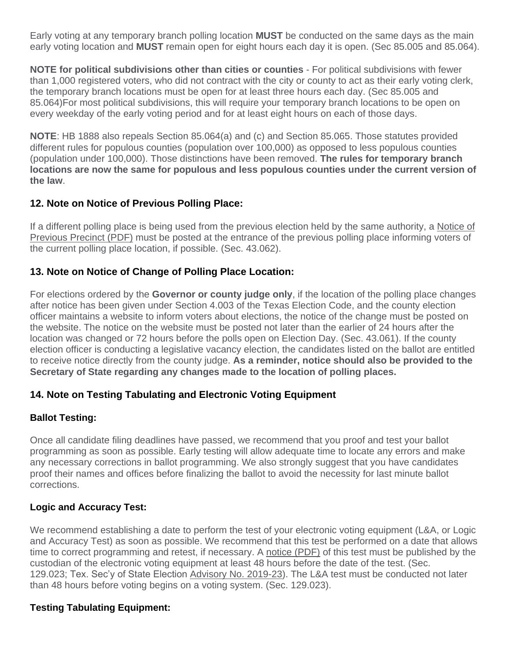Early voting at any temporary branch polling location **MUST** be conducted on the same days as the main early voting location and **MUST** remain open for eight hours each day it is open. (Sec 85.005 and 85.064).

**NOTE for political subdivisions other than cities or counties** - For political subdivisions with fewer than 1,000 registered voters, who did not contract with the city or county to act as their early voting clerk, the temporary branch locations must be open for at least three hours each day. (Sec 85.005 and 85.064)For most political subdivisions, this will require your temporary branch locations to be open on every weekday of the early voting period and for at least eight hours on each of those days.

**NOTE**: HB 1888 also repeals Section 85.064(a) and (c) and Section 85.065. Those statutes provided different rules for populous counties (population over 100,000) as opposed to less populous counties (population under 100,000). Those distinctions have been removed. **The rules for temporary branch locations are now the same for populous and less populous counties under the current version of the law**.

## **12. Note on Notice of Previous Polling Place:**

If a different polling place is being used from the previous election held by the same authority, a [Notice of](http://www.sos.state.tx.us/elections/forms/pol-sub/1-13f.pdf)  [Previous Precinct \(PDF\)](http://www.sos.state.tx.us/elections/forms/pol-sub/1-13f.pdf) must be posted at the entrance of the previous polling place informing voters of the current polling place location, if possible. (Sec. 43.062).

## **13. Note on Notice of Change of Polling Place Location:**

For elections ordered by the **Governor or county judge only**, if the location of the polling place changes after notice has been given under Section 4.003 of the Texas Election Code, and the county election officer maintains a website to inform voters about elections, the notice of the change must be posted on the website. The notice on the website must be posted not later than the earlier of 24 hours after the location was changed or 72 hours before the polls open on Election Day. (Sec. 43.061). If the county election officer is conducting a legislative vacancy election, the candidates listed on the ballot are entitled to receive notice directly from the county judge. **As a reminder, notice should also be provided to the Secretary of State regarding any changes made to the location of polling places.**

## **14. Note on Testing Tabulating and Electronic Voting Equipment**

## **Ballot Testing:**

Once all candidate filing deadlines have passed, we recommend that you proof and test your ballot programming as soon as possible. Early testing will allow adequate time to locate any errors and make any necessary corrections in ballot programming. We also strongly suggest that you have candidates proof their names and offices before finalizing the ballot to avoid the necessity for last minute ballot corrections.

## **Logic and Accuracy Test:**

We recommend establishing a date to perform the test of your electronic voting equipment (L&A, or Logic and Accuracy Test) as soon as possible. We recommend that this test be performed on a date that allows time to correct programming and retest, if necessary. A [notice \(PDF\)](https://www.sos.texas.gov/elections/forms/pol-sub/6-1f.pdf) of this test must be published by the custodian of the electronic voting equipment at least 48 hours before the date of the test. (Sec. 129.023; Tex. Sec'y of State Election [Advisory No. 2019-23\)](https://www.sos.texas.gov/elections/laws/advisory2019-23.shtml). The L&A test must be conducted not later than 48 hours before voting begins on a voting system. (Sec. 129.023).

## **Testing Tabulating Equipment:**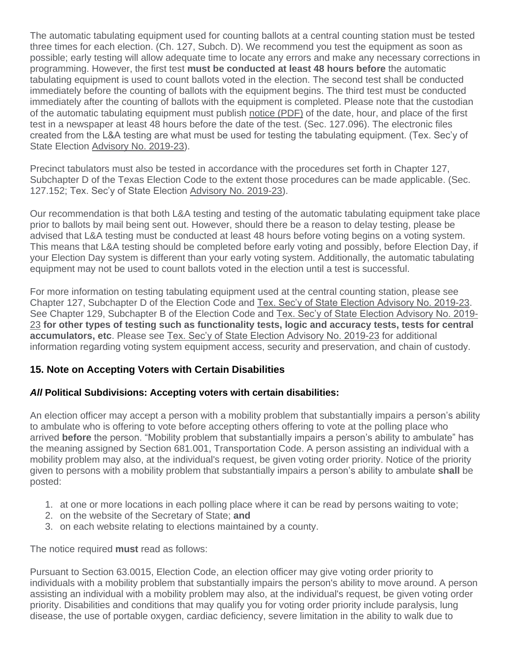The automatic tabulating equipment used for counting ballots at a central counting station must be tested three times for each election. (Ch. 127, Subch. D). We recommend you test the equipment as soon as possible; early testing will allow adequate time to locate any errors and make any necessary corrections in programming. However, the first test **must be conducted at least 48 hours before** the automatic tabulating equipment is used to count ballots voted in the election. The second test shall be conducted immediately before the counting of ballots with the equipment begins. The third test must be conducted immediately after the counting of ballots with the equipment is completed. Please note that the custodian of the automatic tabulating equipment must publish [notice \(PDF\)](http://www.sos.texas.gov/elections/forms/pol-sub/6-1f.pdf) of the date, hour, and place of the first test in a newspaper at least 48 hours before the date of the test. (Sec. 127.096). The electronic files created from the L&A testing are what must be used for testing the tabulating equipment. (Tex. Sec'y of State Election [Advisory No. 2019-23\)](https://www.sos.texas.gov/elections/laws/advisory2019-23.shtml).

Precinct tabulators must also be tested in accordance with the procedures set forth in Chapter 127, Subchapter D of the Texas Election Code to the extent those procedures can be made applicable. (Sec. 127.152; Tex. Sec'y of State Election [Advisory No. 2019-23\)](https://www.sos.texas.gov/elections/laws/advisory2019-23.shtml).

Our recommendation is that both L&A testing and testing of the automatic tabulating equipment take place prior to ballots by mail being sent out. However, should there be a reason to delay testing, please be advised that L&A testing must be conducted at least 48 hours before voting begins on a voting system. This means that L&A testing should be completed before early voting and possibly, before Election Day, if your Election Day system is different than your early voting system. Additionally, the automatic tabulating equipment may not be used to count ballots voted in the election until a test is successful.

For more information on testing tabulating equipment used at the central counting station, please see Chapter 127, Subchapter D of the Election Code and [Tex. Sec'y of State Election Advisory No. 2019-23.](https://www.sos.texas.gov/elections/laws/advisory2019-23.shtml) See Chapter 129, Subchapter B of the Election Code and [Tex. Sec'y of State Election Advisory No. 2019-](https://www.sos.texas.gov/elections/laws/advisory2019-23.shtml) [23](https://www.sos.texas.gov/elections/laws/advisory2019-23.shtml) **for other types of testing such as functionality tests, logic and accuracy tests, tests for central accumulators, etc**. Please see [Tex. Sec'y of State Election Advisory No. 2019-23](https://www.sos.texas.gov/elections/laws/advisory2019-23.shtml) for additional information regarding voting system equipment access, security and preservation, and chain of custody.

## **15. Note on Accepting Voters with Certain Disabilities**

## *All* **Political Subdivisions: Accepting voters with certain disabilities:**

An election officer may accept a person with a mobility problem that substantially impairs a person's ability to ambulate who is offering to vote before accepting others offering to vote at the polling place who arrived **before** the person. "Mobility problem that substantially impairs a person's ability to ambulate" has the meaning assigned by Section 681.001, Transportation Code. A person assisting an individual with a mobility problem may also, at the individual's request, be given voting order priority. Notice of the priority given to persons with a mobility problem that substantially impairs a person's ability to ambulate **shall** be posted:

- 1. at one or more locations in each polling place where it can be read by persons waiting to vote;
- 2. on the website of the Secretary of State; **and**
- 3. on each website relating to elections maintained by a county.

The notice required **must** read as follows:

Pursuant to Section 63.0015, Election Code, an election officer may give voting order priority to individuals with a mobility problem that substantially impairs the person's ability to move around. A person assisting an individual with a mobility problem may also, at the individual's request, be given voting order priority. Disabilities and conditions that may qualify you for voting order priority include paralysis, lung disease, the use of portable oxygen, cardiac deficiency, severe limitation in the ability to walk due to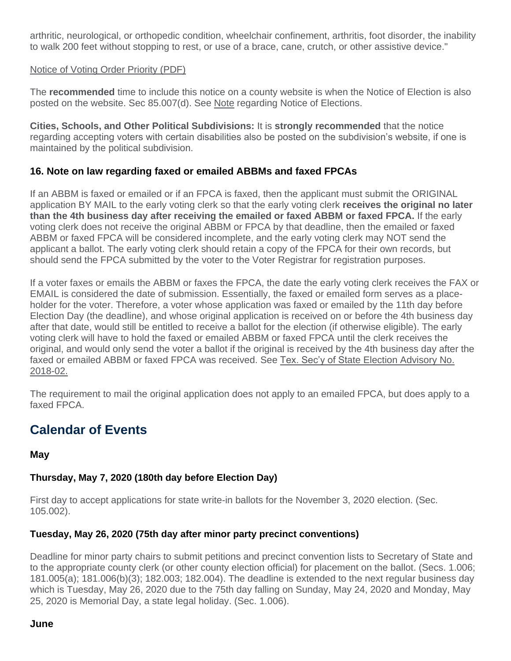arthritic, neurological, or orthopedic condition, wheelchair confinement, arthritis, foot disorder, the inability to walk 200 feet without stopping to rest, or use of a brace, cane, crutch, or other assistive device."

#### [Notice of Voting Order Priority \(PDF\)](https://www.sos.texas.gov/elections/forms/pol-sub/7-7bf.pdf)

The **recommended** time to include this notice on a county website is when the Notice of Election is also posted on the website. Sec 85.007(d). See [Note](https://www.sos.state.tx.us/elections/laws/advisory2020-17.shtml#Note9) regarding Notice of Elections.

**Cities, Schools, and Other Political Subdivisions:** It is **strongly recommended** that the notice regarding accepting voters with certain disabilities also be posted on the subdivision's website, if one is maintained by the political subdivision.

## **16. Note on law regarding faxed or emailed ABBMs and faxed FPCAs**

If an ABBM is faxed or emailed or if an FPCA is faxed, then the applicant must submit the ORIGINAL application BY MAIL to the early voting clerk so that the early voting clerk **receives the original no later than the 4th business day after receiving the emailed or faxed ABBM or faxed FPCA.** If the early voting clerk does not receive the original ABBM or FPCA by that deadline, then the emailed or faxed ABBM or faxed FPCA will be considered incomplete, and the early voting clerk may NOT send the applicant a ballot. The early voting clerk should retain a copy of the FPCA for their own records, but should send the FPCA submitted by the voter to the Voter Registrar for registration purposes.

If a voter faxes or emails the ABBM or faxes the FPCA, the date the early voting clerk receives the FAX or EMAIL is considered the date of submission. Essentially, the faxed or emailed form serves as a placeholder for the voter. Therefore, a voter whose application was faxed or emailed by the 11th day before Election Day (the deadline), and whose original application is received on or before the 4th business day after that date, would still be entitled to receive a ballot for the election (if otherwise eligible). The early voting clerk will have to hold the faxed or emailed ABBM or faxed FPCA until the clerk receives the original, and would only send the voter a ballot if the original is received by the 4th business day after the faxed or emailed ABBM or faxed FPCA was received. See [Tex. Sec'y of State Election Advisory No.](https://www.sos.texas.gov/elections/laws/advisory2018-02.shtml)  [2018-02.](https://www.sos.texas.gov/elections/laws/advisory2018-02.shtml)

The requirement to mail the original application does not apply to an emailed FPCA, but does apply to a faxed FPCA.

## **Calendar of Events**

## **May**

## **Thursday, May 7, 2020 (180th day before Election Day)**

First day to accept applications for state write-in ballots for the November 3, 2020 election. (Sec. 105.002).

## **Tuesday, May 26, 2020 (75th day after minor party precinct conventions)**

Deadline for minor party chairs to submit petitions and precinct convention lists to Secretary of State and to the appropriate county clerk (or other county election official) for placement on the ballot. (Secs. 1.006; 181.005(a); 181.006(b)(3); 182.003; 182.004). The deadline is extended to the next regular business day which is Tuesday, May 26, 2020 due to the 75th day falling on Sunday, May 24, 2020 and Monday, May 25, 2020 is Memorial Day, a state legal holiday. (Sec. 1.006).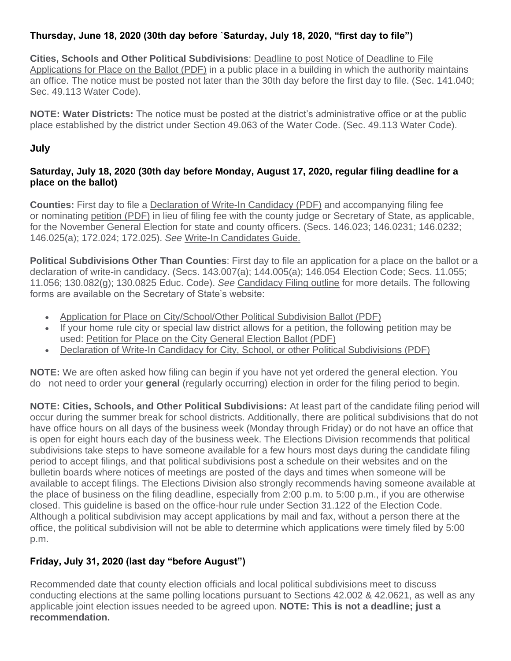## **Thursday, June 18, 2020 (30th day before `Saturday, July 18, 2020, "first day to file")**

**Cities, Schools and Other Political Subdivisions**: [Deadline to post Notice of Deadline to File](http://www.sos.texas.gov/elections/forms/pol-sub/3-2af.pdf)  [Applications for Place on the Ballot \(PDF\)](http://www.sos.texas.gov/elections/forms/pol-sub/3-2af.pdf) in a public place in a building in which the authority maintains an office. The notice must be posted not later than the 30th day before the first day to file. (Sec. 141.040; Sec. 49.113 Water Code).

**NOTE: Water Districts:** The notice must be posted at the district's administrative office or at the public place established by the district under Section 49.063 of the Water Code. (Sec. 49.113 Water Code).

## **July**

## **Saturday, July 18, 2020 (30th day before Monday, August 17, 2020, regular filing deadline for a place on the ballot)**

**Counties:** First day to file a [Declaration of Write-In Candidacy \(PDF\)](http://www.sos.state.tx.us/elections/forms/pol-sub/2-9f.pdf) and accompanying filing fee or nominating [petition \(PDF\)](http://www.sos.state.tx.us/elections/forms/a2-10pm.pdf) in lieu of filing fee with the county judge or Secretary of State, as applicable, for the November General Election for state and county officers. (Secs. 146.023; 146.0231; 146.0232; 146.025(a); 172.024; 172.025). *See* [Write-In Candidates Guide.](http://www.sos.texas.gov/elections/candidates/guide/2018/writein2018.shtml)

**Political Subdivisions Other Than Counties**: First day to file an application for a place on the ballot or a declaration of write-in candidacy. (Secs. 143.007(a); 144.005(a); 146.054 Election Code; Secs. 11.055; 11.056; 130.082(g); 130.0825 Educ. Code). *See* [Candidacy Filing outline](http://www.sos.texas.gov/elections/laws/candidacy.shtml) for more details. The following forms are available on the Secretary of State's website:

- [Application for Place on City/School/Other Political Subdivision Ballot \(PDF\)](http://www.sos.texas.gov/elections/forms/pol-sub/2-21f.pdf)
- If your home rule city or special law district allows for a petition, the following petition may be used: [Petition for Place on the City General Election Ballot \(PDF\)](http://www.sos.texas.gov/elections/forms/pol-sub/2-16f.pdf)
- [Declaration of Write-In Candidacy for City, School, or other Political Subdivisions \(PDF\)](http://www.sos.texas.gov/elections/forms/pol-sub/2-23f.pdf)

**NOTE:** We are often asked how filing can begin if you have not yet ordered the general election. You do not need to order your **general** (regularly occurring) election in order for the filing period to begin.

**NOTE: Cities, Schools, and Other Political Subdivisions:** At least part of the candidate filing period will occur during the summer break for school districts. Additionally, there are political subdivisions that do not have office hours on all days of the business week (Monday through Friday) or do not have an office that is open for eight hours each day of the business week. The Elections Division recommends that political subdivisions take steps to have someone available for a few hours most days during the candidate filing period to accept filings, and that political subdivisions post a schedule on their websites and on the bulletin boards where notices of meetings are posted of the days and times when someone will be available to accept filings. The Elections Division also strongly recommends having someone available at the place of business on the filing deadline, especially from 2:00 p.m. to 5:00 p.m., if you are otherwise closed. This guideline is based on the office-hour rule under Section 31.122 of the Election Code. Although a political subdivision may accept applications by mail and fax, without a person there at the office, the political subdivision will not be able to determine which applications were timely filed by 5:00 p.m.

## **Friday, July 31, 2020 (last day "before August")**

Recommended date that county election officials and local political subdivisions meet to discuss conducting elections at the same polling locations pursuant to Sections 42.002 & 42.0621, as well as any applicable joint election issues needed to be agreed upon. **NOTE: This is not a deadline; just a recommendation.**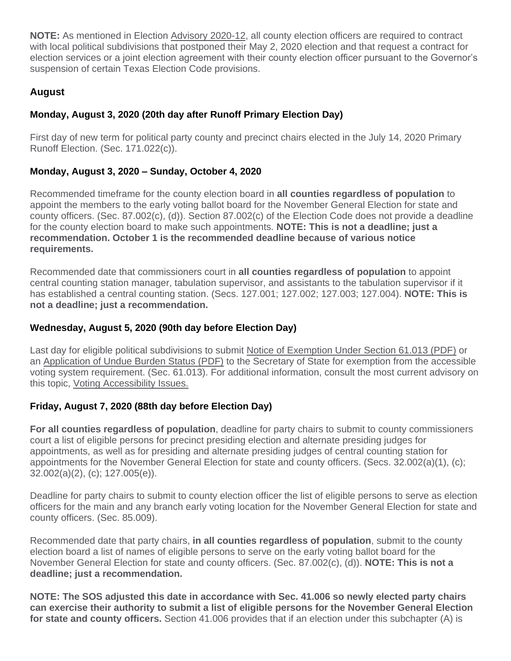**NOTE:** As mentioned in Election [Advisory 2020-12,](https://www.sos.texas.gov/elections/laws/advisory2020-12.shtml) all county election officers are required to contract with local political subdivisions that postponed their May 2, 2020 election and that request a contract for election services or a joint election agreement with their county election officer pursuant to the Governor's suspension of certain Texas Election Code provisions.

## **August**

## **Monday, August 3, 2020 (20th day after Runoff Primary Election Day)**

First day of new term for political party county and precinct chairs elected in the July 14, 2020 Primary Runoff Election. (Sec. 171.022(c)).

## **Monday, August 3, 2020 – Sunday, October 4, 2020**

Recommended timeframe for the county election board in **all counties regardless of population** to appoint the members to the early voting ballot board for the November General Election for state and county officers. (Sec. 87.002(c), (d)). Section 87.002(c) of the Election Code does not provide a deadline for the county election board to make such appointments. **NOTE: This is not a deadline; just a recommendation. October 1 is the recommended deadline because of various notice requirements.**

Recommended date that commissioners court in **all counties regardless of population** to appoint central counting station manager, tabulation supervisor, and assistants to the tabulation supervisor if it has established a central counting station. (Secs. 127.001; 127.002; 127.003; 127.004). **NOTE: This is not a deadline; just a recommendation.**

## **Wednesday, August 5, 2020 (90th day before Election Day)**

Last day for eligible political subdivisions to submit [Notice of Exemption Under Section 61.013 \(PDF\)](http://www.sos.texas.gov/elections/forms/pol-sub/13-5f.pdf) or an [Application of Undue Burden Status \(PDF\)](http://www.sos.texas.gov/elections/forms/pol-sub/13-4f.pdf) to the Secretary of State for exemption from the accessible voting system requirement. (Sec. 61.013). For additional information, consult the most current advisory on this topic, [Voting Accessibility Issues.](http://www.sos.texas.gov/elections/laws/advisory2017-22.shtml)

## **Friday, August 7, 2020 (88th day before Election Day)**

**For all counties regardless of population**, deadline for party chairs to submit to county commissioners court a list of eligible persons for precinct presiding election and alternate presiding judges for appointments, as well as for presiding and alternate presiding judges of central counting station for appointments for the November General Election for state and county officers. (Secs. 32.002(a)(1), (c); 32.002(a)(2), (c); 127.005(e)).

Deadline for party chairs to submit to county election officer the list of eligible persons to serve as election officers for the main and any branch early voting location for the November General Election for state and county officers. (Sec. 85.009).

Recommended date that party chairs, **in all counties regardless of population**, submit to the county election board a list of names of eligible persons to serve on the early voting ballot board for the November General Election for state and county officers. (Sec. 87.002(c), (d)). **NOTE: This is not a deadline; just a recommendation.**

**NOTE: The SOS adjusted this date in accordance with Sec. 41.006 so newly elected party chairs can exercise their authority to submit a list of eligible persons for the November General Election for state and county officers.** Section 41.006 provides that if an election under this subchapter (A) is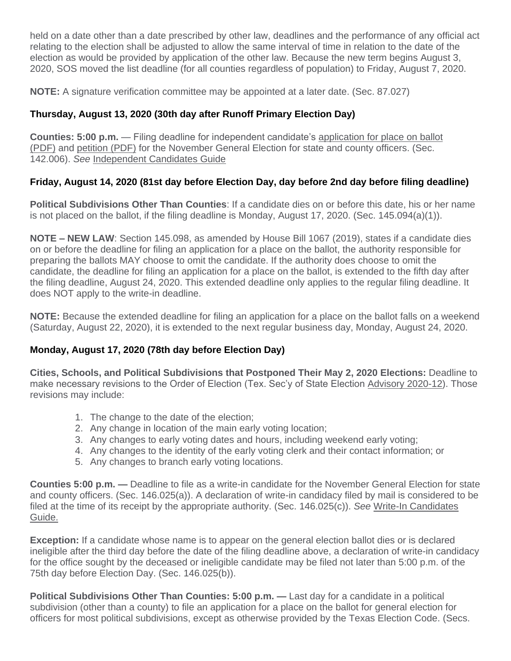held on a date other than a date prescribed by other law, deadlines and the performance of any official act relating to the election shall be adjusted to allow the same interval of time in relation to the date of the election as would be provided by application of the other law. Because the new term begins August 3, 2020, SOS moved the list deadline (for all counties regardless of population) to Friday, August 7, 2020.

**NOTE:** A signature verification committee may be appointed at a later date. (Sec. 87.027)

## **Thursday, August 13, 2020 (30th day after Runoff Primary Election Day)**

**Counties: 5:00 p.m.** — Filing deadline for independent candidate's [application for place on ballot](http://www.sos.texas.gov/elections/forms/pol-sub/2-6f.pdf)  [\(PDF\)](http://www.sos.texas.gov/elections/forms/pol-sub/2-6f.pdf) and [petition \(PDF\)](http://www.sos.texas.gov/elections/forms/pol-sub/2-7f.pdf) for the November General Election for state and county officers. (Sec. 142.006). *See* [Independent Candidates Guide](http://www.sos.texas.gov/elections/candidates/guide/2018/ind2018.shtml)

## **Friday, August 14, 2020 (81st day before Election Day, day before 2nd day before filing deadline)**

**Political Subdivisions Other Than Counties**: If a candidate dies on or before this date, his or her name is not placed on the ballot, if the filing deadline is Monday, August 17, 2020. (Sec. 145.094(a)(1)).

**NOTE – NEW LAW**: Section 145.098, as amended by House Bill 1067 (2019), states if a candidate dies on or before the deadline for filing an application for a place on the ballot, the authority responsible for preparing the ballots MAY choose to omit the candidate. If the authority does choose to omit the candidate, the deadline for filing an application for a place on the ballot, is extended to the fifth day after the filing deadline, August 24, 2020. This extended deadline only applies to the regular filing deadline. It does NOT apply to the write-in deadline.

**NOTE:** Because the extended deadline for filing an application for a place on the ballot falls on a weekend (Saturday, August 22, 2020), it is extended to the next regular business day, Monday, August 24, 2020.

## **Monday, August 17, 2020 (78th day before Election Day)**

**Cities, Schools, and Political Subdivisions that Postponed Their May 2, 2020 Elections:** Deadline to make necessary revisions to the Order of Election (Tex. Sec'y of State Election [Advisory 2020-12\)](https://www.sos.texas.gov/elections/laws/advisory2020-12.shtml). Those revisions may include:

- 1. The change to the date of the election;
- 2. Any change in location of the main early voting location;
- 3. Any changes to early voting dates and hours, including weekend early voting;
- 4. Any changes to the identity of the early voting clerk and their contact information; or
- 5. Any changes to branch early voting locations.

**Counties 5:00 p.m. —** Deadline to file as a write-in candidate for the November General Election for state and county officers. (Sec. 146.025(a)). A declaration of write-in candidacy filed by mail is considered to be filed at the time of its receipt by the appropriate authority. (Sec. 146.025(c)). *See* [Write-In Candidates](http://www.sos.texas.gov/elections/candidates/guide/2018/writein2018.shtml)  [Guide.](http://www.sos.texas.gov/elections/candidates/guide/2018/writein2018.shtml)

**Exception:** If a candidate whose name is to appear on the general election ballot dies or is declared ineligible after the third day before the date of the filing deadline above, a declaration of write-in candidacy for the office sought by the deceased or ineligible candidate may be filed not later than 5:00 p.m. of the 75th day before Election Day. (Sec. 146.025(b)).

**Political Subdivisions Other Than Counties: 5:00 p.m. —** Last day for a candidate in a political subdivision (other than a county) to file an application for a place on the ballot for general election for officers for most political subdivisions, except as otherwise provided by the Texas Election Code. (Secs.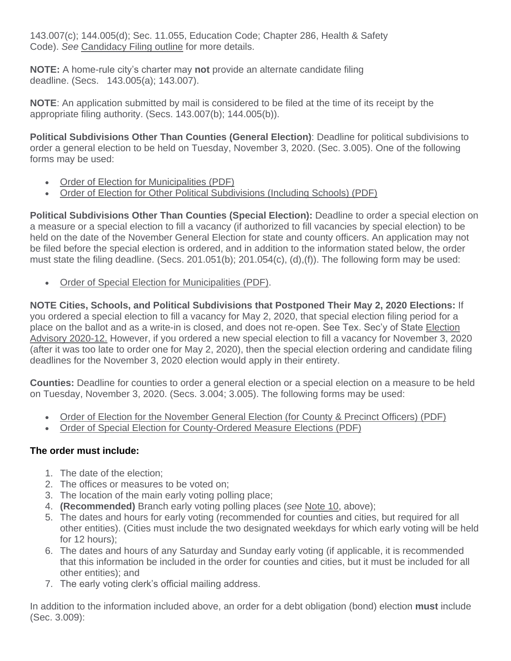143.007(c); 144.005(d); Sec. 11.055, Education Code; Chapter 286, Health & Safety Code). *See* [Candidacy Filing outline](http://www.sos.texas.gov/elections/laws/candidacy.shtml) for more details.

**NOTE:** A home-rule city's charter may **not** provide an alternate candidate filing deadline. (Secs. 143.005(a); 143.007).

**NOTE**: An application submitted by mail is considered to be filed at the time of its receipt by the appropriate filing authority. (Secs. 143.007(b); 144.005(b)).

**Political Subdivisions Other Than Counties (General Election)**: Deadline for political subdivisions to order a general election to be held on Tuesday, November 3, 2020. (Sec. 3.005). One of the following forms may be used:

- [Order of Election for Municipalities \(PDF\)](http://www.sos.texas.gov/elections/forms/pol-sub/1-2f.pdf)
- [Order of Election for Other Political Subdivisions \(Including Schools\) \(PDF\)](http://www.sos.texas.gov/elections/forms/pol-sub/1-3f.pdf)

**Political Subdivisions Other Than Counties (Special Election):** Deadline to order a special election on a measure or a special election to fill a vacancy (if authorized to fill vacancies by special election) to be held on the date of the November General Election for state and county officers. An application may not be filed before the special election is ordered, and in addition to the information stated below, the order must state the filing deadline. (Secs. 201.051(b); 201.054(c), (d),(f)). The following form may be used:

• [Order of Special Election for Municipalities \(PDF\).](http://www.sos.texas.gov/elections/forms/pol-sub/1-6f.pdf)

**NOTE Cities, Schools, and Political Subdivisions that Postponed Their May 2, 2020 Elections:** If you ordered a special election to fill a vacancy for May 2, 2020, that special election filing period for a place on the ballot and as a write-in is closed, and does not re-open. See Tex. Sec'y of State [Election](https://www.sos.state.tx.us/elections/laws/advisory2020-12.shtml)  [Advisory 2020-12.](https://www.sos.state.tx.us/elections/laws/advisory2020-12.shtml) However, if you ordered a new special election to fill a vacancy for November 3, 2020 (after it was too late to order one for May 2, 2020), then the special election ordering and candidate filing deadlines for the November 3, 2020 election would apply in their entirety.

**Counties:** Deadline for counties to order a general election or a special election on a measure to be held on Tuesday, November 3, 2020. (Secs. 3.004; 3.005). The following forms may be used:

- [Order of Election for the November General Election \(for County](http://www.sos.texas.gov/elections/forms/pol-sub/1-1f.pdf) & Precinct Officers) (PDF)
- [Order of Special Election for County-Ordered Measure Elections \(PDF\)](http://www.sos.texas.gov/elections/forms/pol-sub/1-5f.pdf)

## **The order must include:**

- 1. The date of the election;
- 2. The offices or measures to be voted on;
- 3. The location of the main early voting polling place;
- 4. **(Recommended)** Branch early voting polling places (*see* [Note 10,](https://www.sos.state.tx.us/elections/laws/advisory2020-17.shtml#Note10) above);
- 5. The dates and hours for early voting (recommended for counties and cities, but required for all other entities). (Cities must include the two designated weekdays for which early voting will be held for 12 hours);
- 6. The dates and hours of any Saturday and Sunday early voting (if applicable, it is recommended that this information be included in the order for counties and cities, but it must be included for all other entities); and
- 7. The early voting clerk's official mailing address.

In addition to the information included above, an order for a debt obligation (bond) election **must** include (Sec. 3.009):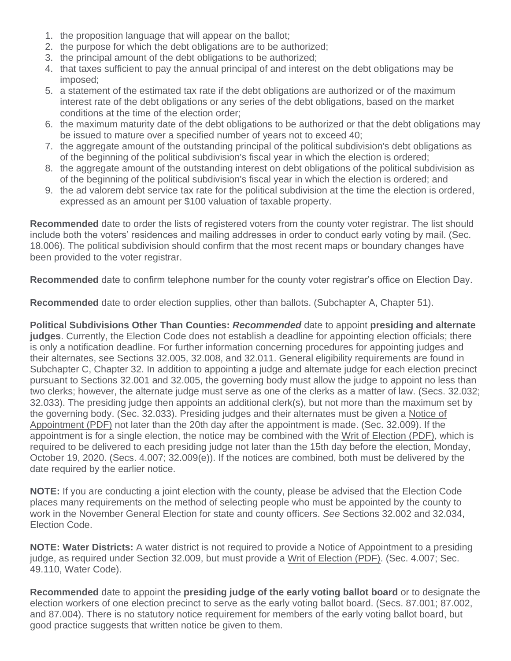- 1. the proposition language that will appear on the ballot;
- 2. the purpose for which the debt obligations are to be authorized;
- 3. the principal amount of the debt obligations to be authorized;
- 4. that taxes sufficient to pay the annual principal of and interest on the debt obligations may be imposed;
- 5. a statement of the estimated tax rate if the debt obligations are authorized or of the maximum interest rate of the debt obligations or any series of the debt obligations, based on the market conditions at the time of the election order;
- 6. the maximum maturity date of the debt obligations to be authorized or that the debt obligations may be issued to mature over a specified number of years not to exceed 40;
- 7. the aggregate amount of the outstanding principal of the political subdivision's debt obligations as of the beginning of the political subdivision's fiscal year in which the election is ordered;
- 8. the aggregate amount of the outstanding interest on debt obligations of the political subdivision as of the beginning of the political subdivision's fiscal year in which the election is ordered; and
- 9. the ad valorem debt service tax rate for the political subdivision at the time the election is ordered, expressed as an amount per \$100 valuation of taxable property.

**Recommended** date to order the lists of registered voters from the county voter registrar. The list should include both the voters' residences and mailing addresses in order to conduct early voting by mail. (Sec. 18.006). The political subdivision should confirm that the most recent maps or boundary changes have been provided to the voter registrar.

**Recommended** date to confirm telephone number for the county voter registrar's office on Election Day.

**Recommended** date to order election supplies, other than ballots. (Subchapter A, Chapter 51).

**Political Subdivisions Other Than Counties:** *Recommended* date to appoint **presiding and alternate judges**. Currently, the Election Code does not establish a deadline for appointing election officials; there is only a notification deadline. For further information concerning procedures for appointing judges and their alternates, see Sections 32.005, 32.008, and 32.011. General eligibility requirements are found in Subchapter C, Chapter 32. In addition to appointing a judge and alternate judge for each election precinct pursuant to Sections 32.001 and 32.005, the governing body must allow the judge to appoint no less than two clerks; however, the alternate judge must serve as one of the clerks as a matter of law. (Secs. 32.032; 32.033). The presiding judge then appoints an additional clerk(s), but not more than the maximum set by the governing body. (Sec. 32.033). Presiding judges and their alternates must be given a [Notice of](http://www.sos.texas.gov/elections/forms/pol-sub/4-11f.pdf)  [Appointment \(PDF\)](http://www.sos.texas.gov/elections/forms/pol-sub/4-11f.pdf) not later than the 20th day after the appointment is made. (Sec. 32.009). If the appointment is for a single election, the notice may be combined with the [Writ of Election \(PDF\),](http://www.sos.texas.gov/elections/forms/pol-sub/4-12f.pdf) which is required to be delivered to each presiding judge not later than the 15th day before the election, Monday, October 19, 2020. (Secs. 4.007; 32.009(e)). If the notices are combined, both must be delivered by the date required by the earlier notice.

**NOTE:** If you are conducting a joint election with the county, please be advised that the Election Code places many requirements on the method of selecting people who must be appointed by the county to work in the November General Election for state and county officers. *See* Sections 32.002 and 32.034, Election Code.

**NOTE: Water Districts:** A water district is not required to provide a Notice of Appointment to a presiding judge, as required under Section 32.009, but must provide a [Writ of Election \(PDF\).](http://www.sos.texas.gov/elections/forms/pol-sub/4-12f.pdf) (Sec. 4.007; Sec. 49.110, Water Code).

**Recommended** date to appoint the **presiding judge of the early voting ballot board** or to designate the election workers of one election precinct to serve as the early voting ballot board. (Secs. 87.001; 87.002, and 87.004). There is no statutory notice requirement for members of the early voting ballot board, but good practice suggests that written notice be given to them.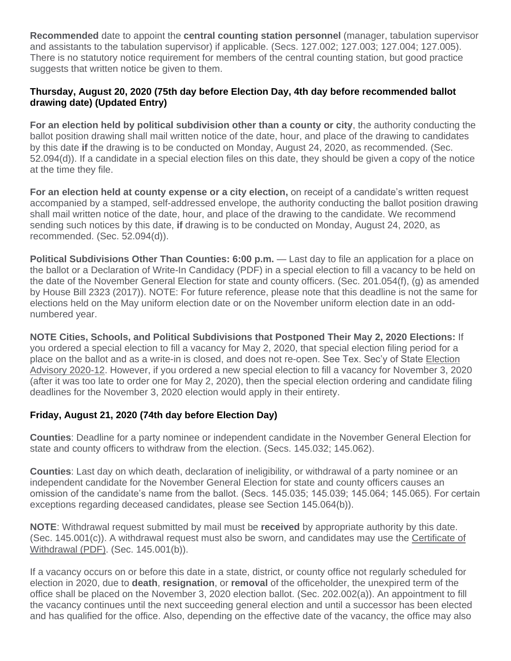**Recommended** date to appoint the **central counting station personnel** (manager, tabulation supervisor and assistants to the tabulation supervisor) if applicable. (Secs. 127.002; 127.003; 127.004; 127.005). There is no statutory notice requirement for members of the central counting station, but good practice suggests that written notice be given to them.

## **Thursday, August 20, 2020 (75th day before Election Day, 4th day before recommended ballot drawing date) (Updated Entry)**

**For an election held by political subdivision other than a county or city**, the authority conducting the ballot position drawing shall mail written notice of the date, hour, and place of the drawing to candidates by this date **if** the drawing is to be conducted on Monday, August 24, 2020, as recommended. (Sec. 52.094(d)). If a candidate in a special election files on this date, they should be given a copy of the notice at the time they file.

**For an election held at county expense or a city election,** on receipt of a candidate's written request accompanied by a stamped, self-addressed envelope, the authority conducting the ballot position drawing shall mail written notice of the date, hour, and place of the drawing to the candidate. We recommend sending such notices by this date, **if** drawing is to be conducted on Monday, August 24, 2020, as recommended. (Sec. 52.094(d)).

**Political Subdivisions Other Than Counties: 6:00 p.m.** — Last day to file an application for a place on the ballot or a Declaration of Write-In Candidacy (PDF) in a special election to fill a vacancy to be held on the date of the November General Election for state and county officers. (Sec. 201.054(f), (g) as amended by House Bill 2323 (2017)). NOTE: For future reference, please note that this deadline is not the same for elections held on the May uniform election date or on the November uniform election date in an oddnumbered year.

**NOTE Cities, Schools, and Political Subdivisions that Postponed Their May 2, 2020 Elections:** If you ordered a special election to fill a vacancy for May 2, 2020, that special election filing period for a place on the ballot and as a write-in is closed, and does not re-open. See Tex. Sec'y of State [Election](https://www.sos.state.tx.us/elections/laws/advisory2020-12.shtml)  [Advisory 2020-12.](https://www.sos.state.tx.us/elections/laws/advisory2020-12.shtml) However, if you ordered a new special election to fill a vacancy for November 3, 2020 (after it was too late to order one for May 2, 2020), then the special election ordering and candidate filing deadlines for the November 3, 2020 election would apply in their entirety.

## **Friday, August 21, 2020 (74th day before Election Day)**

**Counties**: Deadline for a party nominee or independent candidate in the November General Election for state and county officers to withdraw from the election. (Secs. 145.032; 145.062).

**Counties**: Last day on which death, declaration of ineligibility, or withdrawal of a party nominee or an independent candidate for the November General Election for state and county officers causes an omission of the candidate's name from the ballot. (Secs. 145.035; 145.039; 145.064; 145.065). For certain exceptions regarding deceased candidates, please see Section 145.064(b)).

**NOTE**: Withdrawal request submitted by mail must be **received** by appropriate authority by this date. (Sec. 145.001(c)). A withdrawal request must also be sworn, and candidates may use the [Certificate of](http://www.sos.texas.gov/elections/forms/pol-sub/3-16f.pdf)  [Withdrawal \(PDF\).](http://www.sos.texas.gov/elections/forms/pol-sub/3-16f.pdf) (Sec. 145.001(b)).

If a vacancy occurs on or before this date in a state, district, or county office not regularly scheduled for election in 2020, due to **death**, **resignation**, or **removal** of the officeholder, the unexpired term of the office shall be placed on the November 3, 2020 election ballot. (Sec. 202.002(a)). An appointment to fill the vacancy continues until the next succeeding general election and until a successor has been elected and has qualified for the office. Also, depending on the effective date of the vacancy, the office may also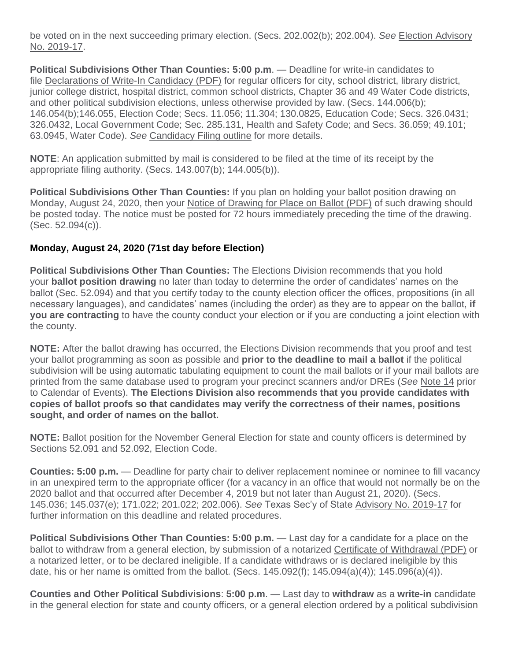be voted on in the next succeeding primary election. (Secs. 202.002(b); 202.004). *See* [Election Advisory](https://www.sos.texas.gov/elections/laws/advisory2019-17.shtml)  [No. 2019-17.](https://www.sos.texas.gov/elections/laws/advisory2019-17.shtml)

**Political Subdivisions Other Than Counties: 5:00 p.m**. — Deadline for write-in candidates to file [Declarations of Write-In Candidacy \(PDF\)](http://www.sos.texas.gov/elections/forms/pol-sub/2-23f.pdf) for regular officers for city, school district, library district, junior college district, hospital district, common school districts, Chapter 36 and 49 Water Code districts, and other political subdivision elections, unless otherwise provided by law. (Secs. 144.006(b); 146.054(b);146.055, Election Code; Secs. 11.056; 11.304; 130.0825, Education Code; Secs. 326.0431; 326.0432, Local Government Code; Sec. 285.131, Health and Safety Code; and Secs. 36.059; 49.101; 63.0945, Water Code). *See* [Candidacy Filing outline](http://www.sos.texas.gov/elections/laws/candidacy.shtml) for more details.

**NOTE**: An application submitted by mail is considered to be filed at the time of its receipt by the appropriate filing authority. (Secs. 143.007(b); 144.005(b)).

**Political Subdivisions Other Than Counties:** If you plan on holding your ballot position drawing on Monday, August 24, 2020, then your [Notice of Drawing for Place on Ballot \(PDF\)](http://www.sos.texas.gov/elections/forms/pol-sub/3-2f.pdf) of such drawing should be posted today. The notice must be posted for 72 hours immediately preceding the time of the drawing. (Sec. 52.094(c)).

## **Monday, August 24, 2020 (71st day before Election)**

**Political Subdivisions Other Than Counties:** The Elections Division recommends that you hold your **ballot position drawing** no later than today to determine the order of candidates' names on the ballot (Sec. 52.094) and that you certify today to the county election officer the offices, propositions (in all necessary languages), and candidates' names (including the order) as they are to appear on the ballot, **if you are contracting** to have the county conduct your election or if you are conducting a joint election with the county.

**NOTE:** After the ballot drawing has occurred, the Elections Division recommends that you proof and test your ballot programming as soon as possible and **prior to the deadline to mail a ballot** if the political subdivision will be using automatic tabulating equipment to count the mail ballots or if your mail ballots are printed from the same database used to program your precinct scanners and/or DREs (*See* [Note 14](https://www.sos.state.tx.us/elections/laws/advisory2020-17.shtml#Note14) prior to Calendar of Events). **The Elections Division also recommends that you provide candidates with copies of ballot proofs so that candidates may verify the correctness of their names, positions sought, and order of names on the ballot.**

**NOTE:** Ballot position for the November General Election for state and county officers is determined by Sections 52.091 and 52.092, Election Code.

**Counties: 5:00 p.m.** — Deadline for party chair to deliver replacement nominee or nominee to fill vacancy in an unexpired term to the appropriate officer (for a vacancy in an office that would not normally be on the 2020 ballot and that occurred after December 4, 2019 but not later than August 21, 2020). (Secs. 145.036; 145.037(e); 171.022; 201.022; 202.006). *See* Texas Sec'y of State [Advisory No. 2019-17](https://www.sos.texas.gov/elections/laws/advisory2019-17.shtml) for further information on this deadline and related procedures.

**Political Subdivisions Other Than Counties: 5:00 p.m.** — Last day for a candidate for a place on the ballot to withdraw from a general election, by submission of a notarized [Certificate of Withdrawal \(PDF\)](https://www.sos.state.tx.us/elections/forms/pol-sub/3-16f.pdf) or a notarized letter, or to be declared ineligible. If a candidate withdraws or is declared ineligible by this date, his or her name is omitted from the ballot. (Secs. 145.092(f);  $145.094(a)(4)$ ;  $145.096(a)(4)$ ).

**Counties and Other Political Subdivisions**: **5:00 p.m**. — Last day to **withdraw** as a **write-in** candidate in the general election for state and county officers, or a general election ordered by a political subdivision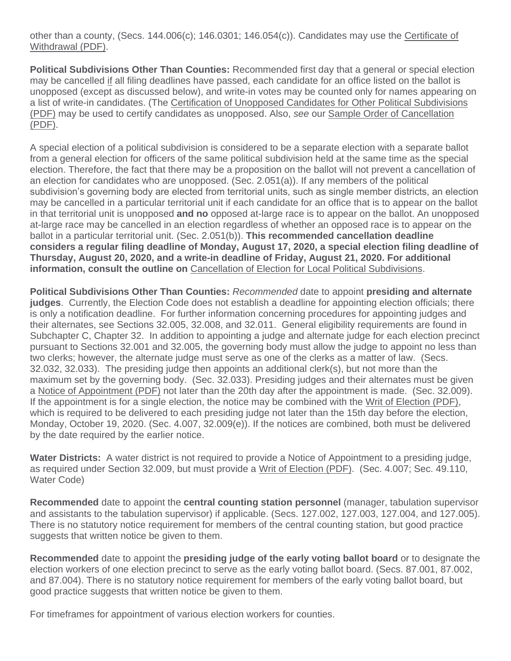other than a county, (Secs. 144.006(c); 146.0301; 146.054(c)). Candidates may use the [Certificate of](https://www.sos.state.tx.us/elections/forms/pol-sub/3-16f.pdf)  [Withdrawal \(PDF\).](https://www.sos.state.tx.us/elections/forms/pol-sub/3-16f.pdf)

**Political Subdivisions Other Than Counties:** Recommended first day that a general or special election may be cancelled if all filing deadlines have passed, each candidate for an office listed on the ballot is unopposed (except as discussed below), and write-in votes may be counted only for names appearing on a list of write-in candidates. (The [Certification of Unopposed Candidates for Other Political Subdivisions](http://www.sos.texas.gov/elections/forms/pol-sub/12-1f.pdf)  [\(PDF\)](http://www.sos.texas.gov/elections/forms/pol-sub/12-1f.pdf) may be used to certify candidates as unopposed. Also, *see* our [Sample Order of Cancellation](http://www.sos.texas.gov/elections/forms/pol-sub/12-2f.pdf)  [\(PDF\).](http://www.sos.texas.gov/elections/forms/pol-sub/12-2f.pdf)

A special election of a political subdivision is considered to be a separate election with a separate ballot from a general election for officers of the same political subdivision held at the same time as the special election. Therefore, the fact that there may be a proposition on the ballot will not prevent a cancellation of an election for candidates who are unopposed. (Sec. 2.051(a)). If any members of the political subdivision's governing body are elected from territorial units, such as single member districts, an election may be cancelled in a particular territorial unit if each candidate for an office that is to appear on the ballot in that territorial unit is unopposed **and no** opposed at-large race is to appear on the ballot. An unopposed at-large race may be cancelled in an election regardless of whether an opposed race is to appear on the ballot in a particular territorial unit. (Sec. 2.051(b)). **This recommended cancellation deadline considers a regular filing deadline of Monday, August 17, 2020, a special election filing deadline of Thursday, August 20, 2020, and a write-in deadline of Friday, August 21, 2020. For additional information, consult the outline on** [Cancellation of Election for Local Political Subdivisions.](http://www.sos.texas.gov/elections/laws/cancellation.shtml)

**Political Subdivisions Other Than Counties:** *Recommended* date to appoint **presiding and alternate judges**. Currently, the Election Code does not establish a deadline for appointing election officials; there is only a notification deadline. For further information concerning procedures for appointing judges and their alternates, see Sections 32.005, 32.008, and 32.011. General eligibility requirements are found in Subchapter C, Chapter 32. In addition to appointing a judge and alternate judge for each election precinct pursuant to Sections 32.001 and 32.005, the governing body must allow the judge to appoint no less than two clerks; however, the alternate judge must serve as one of the clerks as a matter of law. (Secs. 32.032, 32.033). The presiding judge then appoints an additional clerk(s), but not more than the maximum set by the governing body. (Sec. 32.033). Presiding judges and their alternates must be given a [Notice of Appointment \(PDF\)](http://www.sos.texas.gov/elections/forms/pol-sub/4-11f.pdf) not later than the 20th day after the appointment is made. (Sec. 32.009). If the appointment is for a single election, the notice may be combined with the [Writ of Election \(PDF\),](http://www.sos.texas.gov/elections/forms/pol-sub/4-12f.pdf) which is required to be delivered to each presiding judge not later than the 15th day before the election, Monday, October 19, 2020. (Sec. 4.007, 32.009(e)). If the notices are combined, both must be delivered by the date required by the earlier notice.

**Water Districts:** A water district is not required to provide a Notice of Appointment to a presiding judge, as required under Section 32.009, but must provide a [Writ of Election \(PDF\).](http://www.sos.texas.gov/elections/forms/pol-sub/4-12f.pdf) (Sec. 4.007; Sec. 49.110, Water Code)

**Recommended** date to appoint the **central counting station personnel** (manager, tabulation supervisor and assistants to the tabulation supervisor) if applicable. (Secs. 127.002, 127.003, 127.004, and 127.005). There is no statutory notice requirement for members of the central counting station, but good practice suggests that written notice be given to them.

**Recommended** date to appoint the **presiding judge of the early voting ballot board** or to designate the election workers of one election precinct to serve as the early voting ballot board. (Secs. 87.001, 87.002, and 87.004). There is no statutory notice requirement for members of the early voting ballot board, but good practice suggests that written notice be given to them.

For timeframes for appointment of various election workers for counties.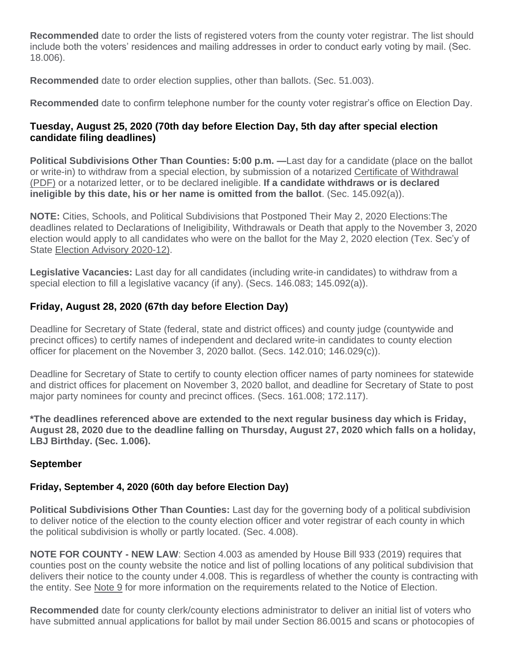**Recommended** date to order the lists of registered voters from the county voter registrar. The list should include both the voters' residences and mailing addresses in order to conduct early voting by mail. (Sec. 18.006).

**Recommended** date to order election supplies, other than ballots. (Sec. 51.003).

**Recommended** date to confirm telephone number for the county voter registrar's office on Election Day.

## **Tuesday, August 25, 2020 (70th day before Election Day, 5th day after special election candidate filing deadlines)**

**Political Subdivisions Other Than Counties: 5:00 p.m. —**Last day for a candidate (place on the ballot or write-in) to withdraw from a special election, by submission of a notarized [Certificate of Withdrawal](http://www.sos.texas.gov/elections/forms/pol-sub/3-16f.pdf)  [\(PDF\)](http://www.sos.texas.gov/elections/forms/pol-sub/3-16f.pdf) or a notarized letter, or to be declared ineligible. **If a candidate withdraws or is declared ineligible by this date, his or her name is omitted from the ballot**. (Sec. 145.092(a)).

**NOTE:** Cities, Schools, and Political Subdivisions that Postponed Their May 2, 2020 Elections:The deadlines related to Declarations of Ineligibility, Withdrawals or Death that apply to the November 3, 2020 election would apply to all candidates who were on the ballot for the May 2, 2020 election (Tex. Sec'y of State [Election Advisory 2020-12\).](https://www.sos.state.tx.us/elections/laws/advisory2020-12.shtml)

**Legislative Vacancies:** Last day for all candidates (including write-in candidates) to withdraw from a special election to fill a legislative vacancy (if any). (Secs. 146.083; 145.092(a)).

## **Friday, August 28, 2020 (67th day before Election Day)**

Deadline for Secretary of State (federal, state and district offices) and county judge (countywide and precinct offices) to certify names of independent and declared write-in candidates to county election officer for placement on the November 3, 2020 ballot. (Secs. 142.010; 146.029(c)).

Deadline for Secretary of State to certify to county election officer names of party nominees for statewide and district offices for placement on November 3, 2020 ballot, and deadline for Secretary of State to post major party nominees for county and precinct offices. (Secs. 161.008; 172.117).

**\*The deadlines referenced above are extended to the next regular business day which is Friday, August 28, 2020 due to the deadline falling on Thursday, August 27, 2020 which falls on a holiday, LBJ Birthday. (Sec. 1.006).**

## **September**

## **Friday, September 4, 2020 (60th day before Election Day)**

**Political Subdivisions Other Than Counties:** Last day for the governing body of a political subdivision to deliver notice of the election to the county election officer and voter registrar of each county in which the political subdivision is wholly or partly located. (Sec. 4.008).

**NOTE FOR COUNTY - NEW LAW**: Section 4.003 as amended by House Bill 933 (2019) requires that counties post on the county website the notice and list of polling locations of any political subdivision that delivers their notice to the county under 4.008. This is regardless of whether the county is contracting with the entity. See [Note 9](https://www.sos.state.tx.us/elections/laws/advisory2020-17.shtml#Note9) for more information on the requirements related to the Notice of Election.

**Recommended** date for county clerk/county elections administrator to deliver an initial list of voters who have submitted annual applications for ballot by mail under Section 86.0015 and scans or photocopies of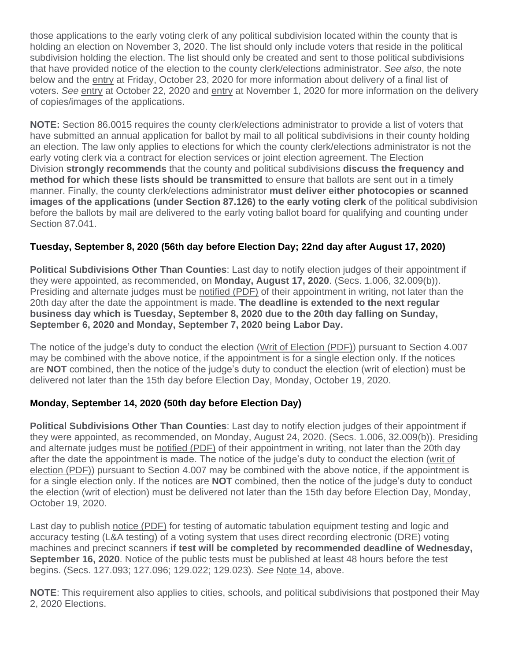those applications to the early voting clerk of any political subdivision located within the county that is holding an election on November 3, 2020. The list should only include voters that reside in the political subdivision holding the election. The list should only be created and sent to those political subdivisions that have provided notice of the election to the county clerk/elections administrator. *See also*, the note below and the [entry](https://www.sos.state.tx.us/elections/laws/advisory2020-17.shtml#October23) at Friday, October 23, 2020 for more information about delivery of a final list of voters. *See* [entry](https://www.sos.state.tx.us/elections/laws/advisory2020-17.shtml#October22) at October 22, 2020 and [entry](https://www.sos.state.tx.us/elections/laws/advisory2020-17.shtml#November1) at November 1, 2020 for more information on the delivery of copies/images of the applications.

**NOTE:** Section 86.0015 requires the county clerk/elections administrator to provide a list of voters that have submitted an annual application for ballot by mail to all political subdivisions in their county holding an election. The law only applies to elections for which the county clerk/elections administrator is not the early voting clerk via a contract for election services or joint election agreement. The Election Division **strongly recommends** that the county and political subdivisions **discuss the frequency and method for which these lists should be transmitted** to ensure that ballots are sent out in a timely manner. Finally, the county clerk/elections administrator **must deliver either photocopies or scanned images of the applications (under Section 87.126) to the early voting clerk** of the political subdivision before the ballots by mail are delivered to the early voting ballot board for qualifying and counting under Section 87.041.

## **Tuesday, September 8, 2020 (56th day before Election Day; 22nd day after August 17, 2020)**

**Political Subdivisions Other Than Counties**: Last day to notify election judges of their appointment if they were appointed, as recommended, on **Monday, August 17, 2020**. (Secs. 1.006, 32.009(b)). Presiding and alternate judges must be [notified \(PDF\)](http://www.sos.texas.gov/elections/forms/pol-sub/4-11f.pdf) of their appointment in writing, not later than the 20th day after the date the appointment is made. **The deadline is extended to the next regular business day which is Tuesday, September 8, 2020 due to the 20th day falling on Sunday, September 6, 2020 and Monday, September 7, 2020 being Labor Day.**

The notice of the judge's duty to conduct the election [\(Writ of Election \(PDF\)\)](http://www.sos.texas.gov/elections/forms/pol-sub/4-12f.pdf) pursuant to Section 4.007 may be combined with the above notice, if the appointment is for a single election only. If the notices are **NOT** combined, then the notice of the judge's duty to conduct the election (writ of election) must be delivered not later than the 15th day before Election Day, Monday, October 19, 2020.

## **Monday, September 14, 2020 (50th day before Election Day)**

**Political Subdivisions Other Than Counties**: Last day to notify election judges of their appointment if they were appointed, as recommended, on Monday, August 24, 2020. (Secs. 1.006, 32.009(b)). Presiding and alternate judges must be [notified \(PDF\)](http://www.sos.texas.gov/elections/forms/pol-sub/4-11f.pdf) of their appointment in writing, not later than the 20th day after the date the appointment is made. The notice of the judge's duty to conduct the election [\(writ of](http://www.sos.texas.gov/elections/forms/pol-sub/4-12f.pdf)  [election \(PDF\)\)](http://www.sos.texas.gov/elections/forms/pol-sub/4-12f.pdf) pursuant to Section 4.007 may be combined with the above notice, if the appointment is for a single election only. If the notices are **NOT** combined, then the notice of the judge's duty to conduct the election (writ of election) must be delivered not later than the 15th day before Election Day, Monday, October 19, 2020.

Last day to publish [notice \(PDF\)](http://www.sos.texas.gov/elections/forms/pol-sub/6-1f.pdf) for testing of automatic tabulation equipment testing and logic and accuracy testing (L&A testing) of a voting system that uses direct recording electronic (DRE) voting machines and precinct scanners **if test will be completed by recommended deadline of Wednesday, September 16, 2020**. Notice of the public tests must be published at least 48 hours before the test begins. (Secs. 127.093; 127.096; 129.022; 129.023). *See* [Note 14,](https://www.sos.state.tx.us/elections/laws/advisory2020-17.shtml#Note14) above.

**NOTE**: This requirement also applies to cities, schools, and political subdivisions that postponed their May 2, 2020 Elections.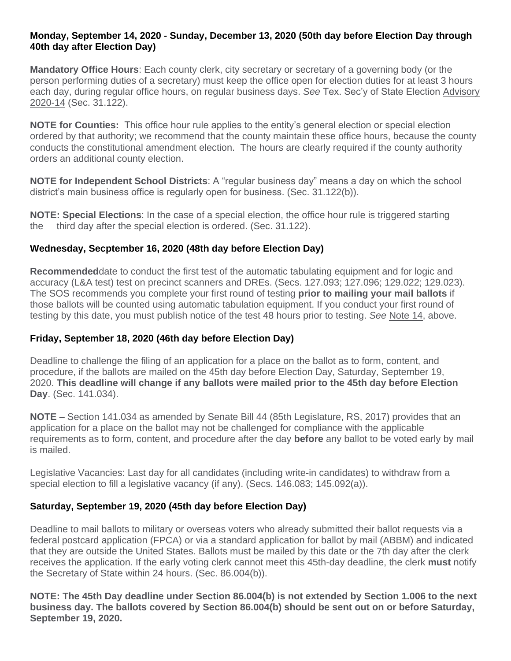#### **Monday, September 14, 2020 - Sunday, December 13, 2020 (50th day before Election Day through 40th day after Election Day)**

**Mandatory Office Hours**: Each county clerk, city secretary or secretary of a governing body (or the person performing duties of a secretary) must keep the office open for election duties for at least 3 hours each day, during regular office hours, on regular business days. *See* Tex. Sec'y of State Election [Advisory](https://www.sos.texas.gov/elections/laws/advisory2020-14.shtml)  [2020-14](https://www.sos.texas.gov/elections/laws/advisory2020-14.shtml) (Sec. 31.122).

**NOTE for Counties:** This office hour rule applies to the entity's general election or special election ordered by that authority; we recommend that the county maintain these office hours, because the county conducts the constitutional amendment election. The hours are clearly required if the county authority orders an additional county election.

**NOTE for Independent School Districts**: A "regular business day" means a day on which the school district's main business office is regularly open for business. (Sec. 31.122(b)).

**NOTE: Special Elections**: In the case of a special election, the office hour rule is triggered starting the third day after the special election is ordered. (Sec. 31.122).

## **Wednesday, Secptember 16, 2020 (48th day before Election Day)**

**Recommended**date to conduct the first test of the automatic tabulating equipment and for logic and accuracy (L&A test) test on precinct scanners and DREs. (Secs. 127.093; 127.096; 129.022; 129.023). The SOS recommends you complete your first round of testing **prior to mailing your mail ballots** if those ballots will be counted using automatic tabulation equipment. If you conduct your first round of testing by this date, you must publish notice of the test 48 hours prior to testing. *See* [Note 14,](https://www.sos.state.tx.us/elections/laws/advisory2020-17.shtml#Note14) above.

## **Friday, September 18, 2020 (46th day before Election Day)**

Deadline to challenge the filing of an application for a place on the ballot as to form, content, and procedure, if the ballots are mailed on the 45th day before Election Day, Saturday, September 19, 2020. **This deadline will change if any ballots were mailed prior to the 45th day before Election Day**. (Sec. 141.034).

**NOTE –** Section 141.034 as amended by Senate Bill 44 (85th Legislature, RS, 2017) provides that an application for a place on the ballot may not be challenged for compliance with the applicable requirements as to form, content, and procedure after the day **before** any ballot to be voted early by mail is mailed.

Legislative Vacancies: Last day for all candidates (including write-in candidates) to withdraw from a special election to fill a legislative vacancy (if any). (Secs. 146.083; 145.092(a)).

## **Saturday, September 19, 2020 (45th day before Election Day)**

Deadline to mail ballots to military or overseas voters who already submitted their ballot requests via a federal postcard application (FPCA) or via a standard application for ballot by mail (ABBM) and indicated that they are outside the United States. Ballots must be mailed by this date or the 7th day after the clerk receives the application. If the early voting clerk cannot meet this 45th-day deadline, the clerk **must** notify the Secretary of State within 24 hours. (Sec. 86.004(b)).

**NOTE: The 45th Day deadline under Section 86.004(b) is not extended by Section 1.006 to the next business day. The ballots covered by Section 86.004(b) should be sent out on or before Saturday, September 19, 2020.**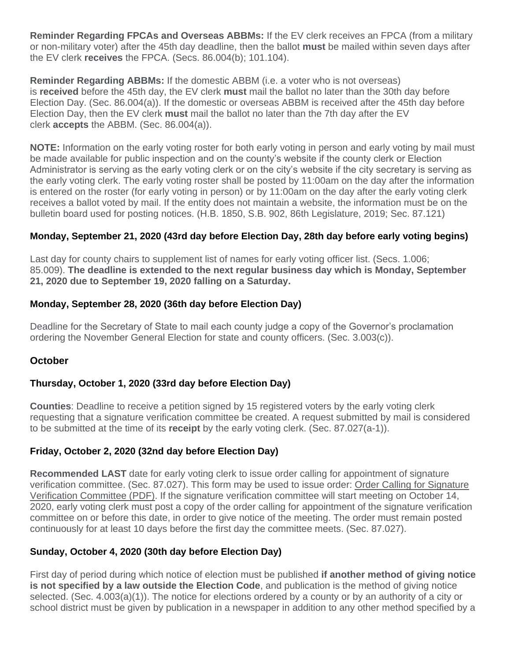**Reminder Regarding FPCAs and Overseas ABBMs:** If the EV clerk receives an FPCA (from a military or non-military voter) after the 45th day deadline, then the ballot **must** be mailed within seven days after the EV clerk **receives** the FPCA. (Secs. 86.004(b); 101.104).

**Reminder Regarding ABBMs:** If the domestic ABBM (i.e. a voter who is not overseas) is **received** before the 45th day, the EV clerk **must** mail the ballot no later than the 30th day before Election Day. (Sec. 86.004(a)). If the domestic or overseas ABBM is received after the 45th day before Election Day, then the EV clerk **must** mail the ballot no later than the 7th day after the EV clerk **accepts** the ABBM. (Sec. 86.004(a)).

**NOTE:** Information on the early voting roster for both early voting in person and early voting by mail must be made available for public inspection and on the county's website if the county clerk or Election Administrator is serving as the early voting clerk or on the city's website if the city secretary is serving as the early voting clerk. The early voting roster shall be posted by 11:00am on the day after the information is entered on the roster (for early voting in person) or by 11:00am on the day after the early voting clerk receives a ballot voted by mail. If the entity does not maintain a website, the information must be on the bulletin board used for posting notices. (H.B. 1850, S.B. 902, 86th Legislature, 2019; Sec. 87.121)

## **Monday, September 21, 2020 (43rd day before Election Day, 28th day before early voting begins)**

Last day for county chairs to supplement list of names for early voting officer list. (Secs. 1.006; 85.009). **The deadline is extended to the next regular business day which is Monday, September 21, 2020 due to September 19, 2020 falling on a Saturday.**

## **Monday, September 28, 2020 (36th day before Election Day)**

Deadline for the Secretary of State to mail each county judge a copy of the Governor's proclamation ordering the November General Election for state and county officers. (Sec. 3.003(c)).

## **October**

## **Thursday, October 1, 2020 (33rd day before Election Day)**

**Counties**: Deadline to receive a petition signed by 15 registered voters by the early voting clerk requesting that a signature verification committee be created. A request submitted by mail is considered to be submitted at the time of its **receipt** by the early voting clerk. (Sec. 87.027(a-1)).

## **Friday, October 2, 2020 (32nd day before Election Day)**

**Recommended LAST** date for early voting clerk to issue order calling for appointment of signature verification committee. (Sec. 87.027). This form may be used to issue order: [Order Calling for Signature](http://www.sos.texas.gov/elections/forms/pol-sub/5-52f.pdf)  [Verification Committee \(PDF\).](http://www.sos.texas.gov/elections/forms/pol-sub/5-52f.pdf) If the signature verification committee will start meeting on October 14, 2020, early voting clerk must post a copy of the order calling for appointment of the signature verification committee on or before this date, in order to give notice of the meeting. The order must remain posted continuously for at least 10 days before the first day the committee meets. (Sec. 87.027).

## **Sunday, October 4, 2020 (30th day before Election Day)**

First day of period during which notice of election must be published **if another method of giving notice is not specified by a law outside the Election Code**, and publication is the method of giving notice selected. (Sec. 4.003(a)(1)). The notice for elections ordered by a county or by an authority of a city or school district must be given by publication in a newspaper in addition to any other method specified by a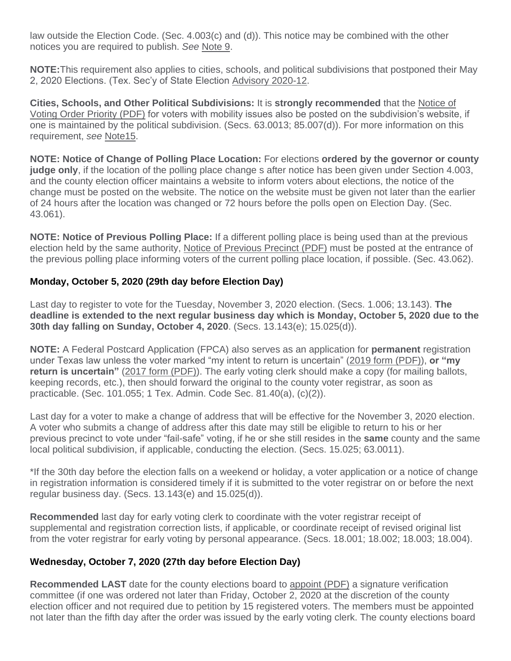law outside the Election Code. (Sec. 4.003(c) and (d)). This notice may be combined with the other notices you are required to publish. *See* [Note 9.](https://www.sos.state.tx.us/elections/laws/advisory2020-17.shtml#Note9)

**NOTE:**This requirement also applies to cities, schools, and political subdivisions that postponed their May 2, 2020 Elections. (Tex. Sec'y of State Election [Advisory 2020-12.](https://www.sos.texas.gov/elections/laws/advisory2020-12.shtml)

**Cities, Schools, and Other Political Subdivisions:** It is **strongly recommended** that the [Notice of](http://www.sos.texas.gov/elections/forms/pol-sub/7-7bf.pdf)  [Voting Order Priority \(PDF\)](http://www.sos.texas.gov/elections/forms/pol-sub/7-7bf.pdf) for voters with mobility issues also be posted on the subdivision's website, if one is maintained by the political subdivision. (Secs. 63.0013; 85.007(d)). For more information on this requirement, *see* [Note15.](https://www.sos.state.tx.us/elections/laws/advisory2020-17.shtml#Note15)

**NOTE: Notice of Change of Polling Place Location:** For elections **ordered by the governor or county judge only**, if the location of the polling place change s after notice has been given under Section 4.003, and the county election officer maintains a website to inform voters about elections, the notice of the change must be posted on the website. The notice on the website must be given not later than the earlier of 24 hours after the location was changed or 72 hours before the polls open on Election Day. (Sec. 43.061).

**NOTE: Notice of Previous Polling Place:** If a different polling place is being used than at the previous election held by the same authority, [Notice of Previous Precinct \(PDF\)](http://www.sos.texas.gov/elections/forms/pol-sub/1-13f.pdf) must be posted at the entrance of the previous polling place informing voters of the current polling place location, if possible. (Sec. 43.062).

## **Monday, October 5, 2020 (29th day before Election Day)**

Last day to register to vote for the Tuesday, November 3, 2020 election. (Secs. 1.006; 13.143). **The deadline is extended to the next regular business day which is Monday, October 5, 2020 due to the 30th day falling on Sunday, October 4, 2020**. (Secs. 13.143(e); 15.025(d)).

**NOTE:** A Federal Postcard Application (FPCA) also serves as an application for **permanent** registration under Texas law unless the voter marked "my intent to return is uncertain" [\(2019 form \(PDF\)\)](https://www.fvap.gov/uploads/FVAP/Forms/fpca2013.pdf), **or "my return is uncertain"** [\(2017 form \(PDF\)\)](https://www.fvap.gov/uploads/FVAP/fpca-qrg.pdf). The early voting clerk should make a copy (for mailing ballots, keeping records, etc.), then should forward the original to the county voter registrar, as soon as practicable. (Sec. 101.055; 1 Tex. Admin. Code Sec. 81.40(a), (c)(2)).

Last day for a voter to make a change of address that will be effective for the November 3, 2020 election. A voter who submits a change of address after this date may still be eligible to return to his or her previous precinct to vote under "fail-safe" voting, if he or she still resides in the **same** county and the same local political subdivision, if applicable, conducting the election. (Secs. 15.025; 63.0011).

\*If the 30th day before the election falls on a weekend or holiday, a voter application or a notice of change in registration information is considered timely if it is submitted to the voter registrar on or before the next regular business day. (Secs. 13.143(e) and 15.025(d)).

**Recommended** last day for early voting clerk to coordinate with the voter registrar receipt of supplemental and registration correction lists, if applicable, or coordinate receipt of revised original list from the voter registrar for early voting by personal appearance. (Secs. 18.001; 18.002; 18.003; 18.004).

## **Wednesday, October 7, 2020 (27th day before Election Day)**

**Recommended LAST** date for the county elections board to [appoint \(PDF\)](http://www.sos.texas.gov/elections/forms/pol-sub/5-53f.pdf) a signature verification committee (if one was ordered not later than Friday, October 2, 2020 at the discretion of the county election officer and not required due to petition by 15 registered voters. The members must be appointed not later than the fifth day after the order was issued by the early voting clerk. The county elections board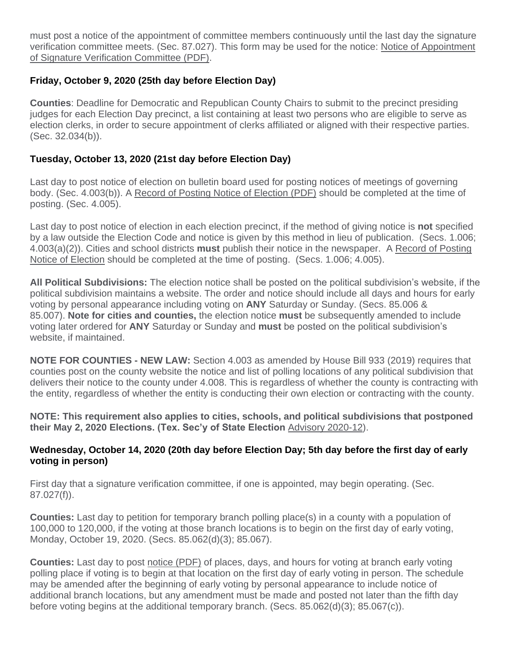must post a notice of the appointment of committee members continuously until the last day the signature verification committee meets. (Sec. 87.027). This form may be used for the notice: [Notice of Appointment](http://www.sos.texas.gov/elections/forms/pol-sub/5-54f.pdf)  [of Signature Verification Committee \(PDF\).](http://www.sos.texas.gov/elections/forms/pol-sub/5-54f.pdf)

## **Friday, October 9, 2020 (25th day before Election Day)**

**Counties**: Deadline for Democratic and Republican County Chairs to submit to the precinct presiding judges for each Election Day precinct, a list containing at least two persons who are eligible to serve as election clerks, in order to secure appointment of clerks affiliated or aligned with their respective parties. (Sec. 32.034(b)).

## **Tuesday, October 13, 2020 (21st day before Election Day)**

Last day to post notice of election on bulletin board used for posting notices of meetings of governing body. (Sec. 4.003(b)). A [Record of Posting Notice of Election \(PDF\)](http://www.sos.texas.gov/elections/forms/pol-sub/1-12f.pdf) should be completed at the time of posting. (Sec. 4.005).

Last day to post notice of election in each election precinct, if the method of giving notice is **not** specified by a law outside the Election Code and notice is given by this method in lieu of publication. (Secs. 1.006; 4.003(a)(2)). Cities and school districts **must** publish their notice in the newspaper. A [Record of Posting](http://www.sos.texas.gov/elections/forms/pol-sub/1-12f.pdf)  [Notice of Election](http://www.sos.texas.gov/elections/forms/pol-sub/1-12f.pdf) should be completed at the time of posting. (Secs. 1.006; 4.005).

**All Political Subdivisions:** The election notice shall be posted on the political subdivision's website, if the political subdivision maintains a website. The order and notice should include all days and hours for early voting by personal appearance including voting on **ANY** Saturday or Sunday. (Secs. 85.006 & 85.007). **Note for cities and counties,** the election notice **must** be subsequently amended to include voting later ordered for **ANY** Saturday or Sunday and **must** be posted on the political subdivision's website, if maintained.

**NOTE FOR COUNTIES - NEW LAW:** Section 4.003 as amended by House Bill 933 (2019) requires that counties post on the county website the notice and list of polling locations of any political subdivision that delivers their notice to the county under 4.008. This is regardless of whether the county is contracting with the entity, regardless of whether the entity is conducting their own election or contracting with the county.

**NOTE: This requirement also applies to cities, schools, and political subdivisions that postponed their May 2, 2020 Elections. (Tex. Sec'y of State Election** [Advisory 2020-12\)](https://www.sos.texas.gov/elections/laws/advisory2020-12.shtml).

## **Wednesday, October 14, 2020 (20th day before Election Day; 5th day before the first day of early voting in person)**

First day that a signature verification committee, if one is appointed, may begin operating. (Sec. 87.027(f)).

**Counties:** Last day to petition for temporary branch polling place(s) in a county with a population of 100,000 to 120,000, if the voting at those branch locations is to begin on the first day of early voting, Monday, October 19, 2020. (Secs. 85.062(d)(3); 85.067).

**Counties:** Last day to post [notice \(PDF\)](http://www.sos.texas.gov/elections/forms/pol-sub/5-49f.pdf) of places, days, and hours for voting at branch early voting polling place if voting is to begin at that location on the first day of early voting in person. The schedule may be amended after the beginning of early voting by personal appearance to include notice of additional branch locations, but any amendment must be made and posted not later than the fifth day before voting begins at the additional temporary branch. (Secs. 85.062(d)(3); 85.067(c)).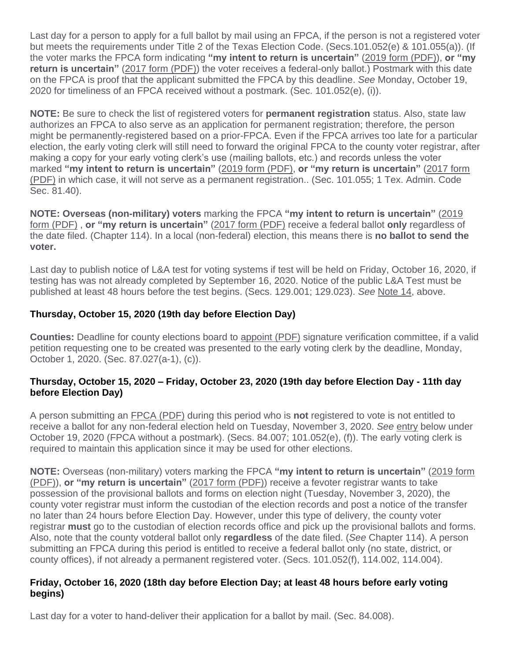Last day for a person to apply for a full ballot by mail using an FPCA, if the person is not a registered voter but meets the requirements under Title 2 of the Texas Election Code. (Secs.101.052(e) & 101.055(a)). (If the voter marks the FPCA form indicating **"my intent to return is uncertain"** [\(2019 form \(PDF\)\)](https://www.fvap.gov/uploads/FVAP/Forms/fpca2013.pdf), **or "my return is uncertain**" [\(2017 form \(PDF\)\)](https://www.fvap.gov/uploads/FVAP/fpca-qrg.pdf) the voter receives a federal-only ballot.) Postmark with this date on the FPCA is proof that the applicant submitted the FPCA by this deadline. *See* Monday, October 19, 2020 for timeliness of an FPCA received without a postmark. (Sec. 101.052(e), (i)).

**NOTE:** Be sure to check the list of registered voters for **permanent registration** status. Also, state law authorizes an FPCA to also serve as an application for permanent registration; therefore, the person might be permanently-registered based on a prior-FPCA. Even if the FPCA arrives too late for a particular election, the early voting clerk will still need to forward the original FPCA to the county voter registrar, after making a copy for your early voting clerk's use (mailing ballots, etc.) and records unless the voter marked **"my intent to return is uncertain"** [\(2019 form \(PDF\),](https://www.fvap.gov/uploads/FVAP/Forms/fpca2013.pdf) **or "my return is uncertain"** [\(2017 form](https://www.fvap.gov/uploads/FVAP/fpca-qrg.pdf)  [\(PDF\)](https://www.fvap.gov/uploads/FVAP/fpca-qrg.pdf) in which case, it will not serve as a permanent registration.. (Sec. 101.055; 1 Tex. Admin. Code Sec. 81.40).

**NOTE: Overseas (non-military) voters** marking the FPCA **"my intent to return is uncertain"** [\(2019](https://www.fvap.gov/uploads/FVAP/Forms/fpca2013.pdf)  [form \(PDF\)](https://www.fvap.gov/uploads/FVAP/Forms/fpca2013.pdf) , **or "my return is uncertain"** [\(2017 form \(PDF\)](https://www.fvap.gov/uploads/FVAP/fpca-qrg.pdf) receive a federal ballot **only** regardless of the date filed. (Chapter 114). In a local (non-federal) election, this means there is **no ballot to send the voter.**

Last day to publish notice of L&A test for voting systems if test will be held on Friday, October 16, 2020, if testing has was not already completed by September 16, 2020. Notice of the public L&A Test must be published at least 48 hours before the test begins. (Secs. 129.001; 129.023). *See* [Note 14,](https://www.sos.state.tx.us/elections/laws/advisory2020-17.shtml#Note14) above.

## **Thursday, October 15, 2020 (19th day before Election Day)**

**Counties:** Deadline for county elections board to [appoint \(PDF\)](http://www.sos.texas.gov/elections/forms/pol-sub/5-53f.pdf) signature verification committee, if a valid petition requesting one to be created was presented to the early voting clerk by the deadline, Monday, October 1, 2020. (Sec. 87.027(a-1), (c)).

## **Thursday, October 15, 2020 – Friday, October 23, 2020 (19th day before Election Day - 11th day before Election Day)**

A person submitting an [FPCA \(PDF\)](https://www.fvap.gov/uploads/FVAP/Forms/fpca.pdf) during this period who is **not** registered to vote is not entitled to receive a ballot for any non-federal election held on Tuesday, November 3, 2020. *See* [entry](https://www.sos.state.tx.us/elections/laws/advisory2020-17.shtml#October19) below under October 19, 2020 (FPCA without a postmark). (Secs. 84.007; 101.052(e), (f)). The early voting clerk is required to maintain this application since it may be used for other elections.

**NOTE:** Overseas (non-military) voters marking the FPCA **"my intent to return is uncertain"** [\(2019 form](https://www.fvap.gov/uploads/FVAP/Forms/fpca2013.pdf)  [\(PDF\)\)](https://www.fvap.gov/uploads/FVAP/Forms/fpca2013.pdf), **or "my return is uncertain"** [\(2017 form \(PDF\)\)](https://www.fvap.gov/uploads/FVAP/fpca-qrg.pdf) receive a fevoter registrar wants to take possession of the provisional ballots and forms on election night (Tuesday, November 3, 2020), the county voter registrar must inform the custodian of the election records and post a notice of the transfer no later than 24 hours before Election Day. However, under this type of delivery, the county voter registrar **must** go to the custodian of election records office and pick up the provisional ballots and forms. Also, note that the county votderal ballot only **regardless** of the date filed. (*See* Chapter 114). A person submitting an FPCA during this period is entitled to receive a federal ballot only (no state, district, or county offices), if not already a permanent registered voter. (Secs. 101.052(f), 114.002, 114.004).

#### **Friday, October 16, 2020 (18th day before Election Day; at least 48 hours before early voting begins)**

Last day for a voter to hand-deliver their application for a ballot by mail. (Sec. 84.008).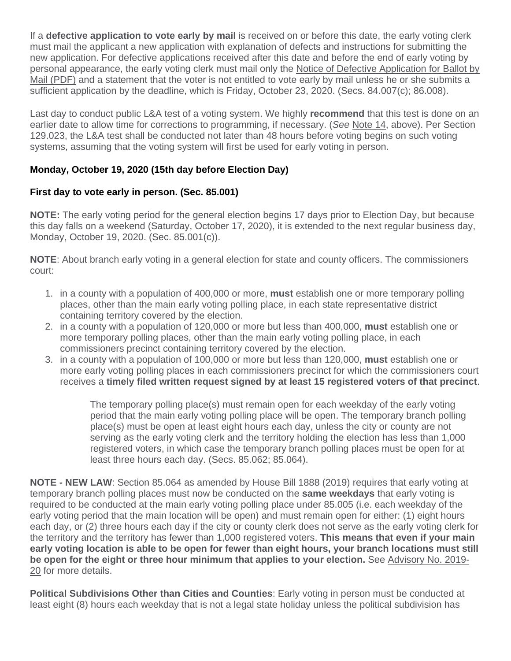If a **defective application to vote early by mail** is received on or before this date, the early voting clerk must mail the applicant a new application with explanation of defects and instructions for submitting the new application. For defective applications received after this date and before the end of early voting by personal appearance, the early voting clerk must mail only the Notice of Defective Application for Ballot by [Mail \(PDF\)](http://www.sos.texas.gov/elections/forms/pol-sub/5-16f.pdf) and a statement that the voter is not entitled to vote early by mail unless he or she submits a sufficient application by the deadline, which is Friday, October 23, 2020. (Secs. 84.007(c); 86.008).

Last day to conduct public L&A test of a voting system. We highly **recommend** that this test is done on an earlier date to allow time for corrections to programming, if necessary. (*See* [Note 14,](https://www.sos.state.tx.us/elections/laws/advisory2020-17.shtml#Note14) above). Per Section 129.023, the L&A test shall be conducted not later than 48 hours before voting begins on such voting systems, assuming that the voting system will first be used for early voting in person.

## **Monday, October 19, 2020 (15th day before Election Day)**

## **First day to vote early in person. (Sec. 85.001)**

**NOTE:** The early voting period for the general election begins 17 days prior to Election Day, but because this day falls on a weekend (Saturday, October 17, 2020), it is extended to the next regular business day, Monday, October 19, 2020. (Sec. 85.001(c)).

**NOTE**: About branch early voting in a general election for state and county officers. The commissioners court:

- 1. in a county with a population of 400,000 or more, **must** establish one or more temporary polling places, other than the main early voting polling place, in each state representative district containing territory covered by the election.
- 2. in a county with a population of 120,000 or more but less than 400,000, **must** establish one or more temporary polling places, other than the main early voting polling place, in each commissioners precinct containing territory covered by the election.
- 3. in a county with a population of 100,000 or more but less than 120,000, **must** establish one or more early voting polling places in each commissioners precinct for which the commissioners court receives a **timely filed written request signed by at least 15 registered voters of that precinct**.

The temporary polling place(s) must remain open for each weekday of the early voting period that the main early voting polling place will be open. The temporary branch polling place(s) must be open at least eight hours each day, unless the city or county are not serving as the early voting clerk and the territory holding the election has less than 1,000 registered voters, in which case the temporary branch polling places must be open for at least three hours each day. (Secs. 85.062; 85.064).

**NOTE - NEW LAW**: Section 85.064 as amended by House Bill 1888 (2019) requires that early voting at temporary branch polling places must now be conducted on the **same weekdays** that early voting is required to be conducted at the main early voting polling place under 85.005 (i.e. each weekday of the early voting period that the main location will be open) and must remain open for either: (1) eight hours each day, or (2) three hours each day if the city or county clerk does not serve as the early voting clerk for the territory and the territory has fewer than 1,000 registered voters. **This means that even if your main early voting location is able to be open for fewer than eight hours, your branch locations must still be open for the eight or three hour minimum that applies to your election.** See [Advisory No. 2019-](https://www.sos.texas.gov/elections/laws/advisory2019-20.shtml) [20](https://www.sos.texas.gov/elections/laws/advisory2019-20.shtml) for more details.

**Political Subdivisions Other than Cities and Counties**: Early voting in person must be conducted at least eight (8) hours each weekday that is not a legal state holiday unless the political subdivision has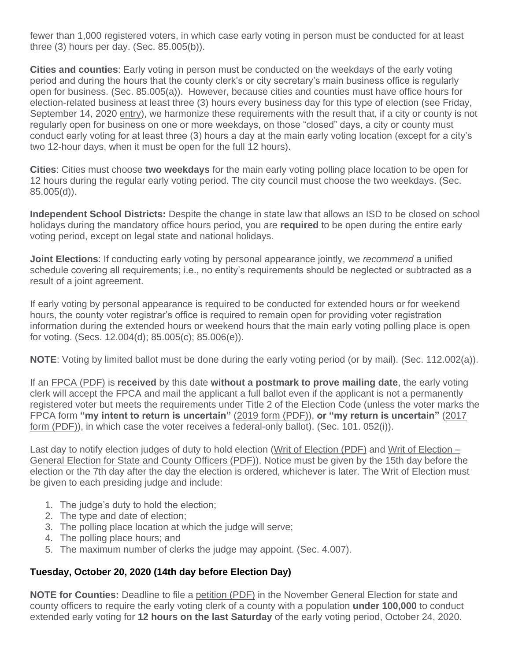fewer than 1,000 registered voters, in which case early voting in person must be conducted for at least three (3) hours per day. (Sec. 85.005(b)).

**Cities and counties**: Early voting in person must be conducted on the weekdays of the early voting period and during the hours that the county clerk's or city secretary's main business office is regularly open for business. (Sec. 85.005(a)). However, because cities and counties must have office hours for election-related business at least three (3) hours every business day for this type of election (see Friday, September 14, 2020 [entry\)](https://www.sos.state.tx.us/elections/laws/advisory2020-17.shtml#September14), we harmonize these requirements with the result that, if a city or county is not regularly open for business on one or more weekdays, on those "closed" days, a city or county must conduct early voting for at least three (3) hours a day at the main early voting location (except for a city's two 12-hour days, when it must be open for the full 12 hours).

**Cities**: Cities must choose **two weekdays** for the main early voting polling place location to be open for 12 hours during the regular early voting period. The city council must choose the two weekdays. (Sec. 85.005(d)).

**Independent School Districts:** Despite the change in state law that allows an ISD to be closed on school holidays during the mandatory office hours period, you are **required** to be open during the entire early voting period, except on legal state and national holidays.

**Joint Elections**: If conducting early voting by personal appearance jointly, we *recommend* a unified schedule covering all requirements; i.e., no entity's requirements should be neglected or subtracted as a result of a joint agreement.

If early voting by personal appearance is required to be conducted for extended hours or for weekend hours, the county voter registrar's office is required to remain open for providing voter registration information during the extended hours or weekend hours that the main early voting polling place is open for voting. (Secs. 12.004(d); 85.005(c); 85.006(e)).

**NOTE**: Voting by limited ballot must be done during the early voting period (or by mail). (Sec. 112.002(a)).

If an [FPCA \(PDF\)](http://www.fvap.gov/uploads/FVAP/Forms/fpca2013.pdf) is **received** by this date **without a postmark to prove mailing date**, the early voting clerk will accept the FPCA and mail the applicant a full ballot even if the applicant is not a permanently registered voter but meets the requirements under Title 2 of the Election Code (unless the voter marks the FPCA form **"my intent to return is uncertain"** [\(2019 form \(PDF\)\)](https://www.fvap.gov/uploads/FVAP/Forms/fpca2013.pdf), **or "my return is uncertain"** [\(2017](https://www.fvap.gov/uploads/FVAP/fpca-qrg.pdf)  [form \(PDF\)\)](https://www.fvap.gov/uploads/FVAP/fpca-qrg.pdf), in which case the voter receives a federal-only ballot). (Sec. 101. 052(i)).

Last day to notify election judges of duty to hold election [\(Writ of Election \(PDF\)](http://www.sos.texas.gov/elections/forms/pol-sub/4-12f.pdf) and [Writ of Election –](http://www.sos.texas.gov/elections/forms/pol-sub/4-13f.pdf) [General Election for State and County Officers \(PDF\)\)](http://www.sos.texas.gov/elections/forms/pol-sub/4-13f.pdf). Notice must be given by the 15th day before the election or the 7th day after the day the election is ordered, whichever is later. The Writ of Election must be given to each presiding judge and include:

- 1. The judge's duty to hold the election;
- 2. The type and date of election;
- 3. The polling place location at which the judge will serve;
- 4. The polling place hours; and
- 5. The maximum number of clerks the judge may appoint. (Sec. 4.007).

## **Tuesday, October 20, 2020 (14th day before Election Day)**

**NOTE for Counties:** Deadline to file a [petition \(PDF\)](http://www.sos.texas.gov/elections/forms/pol-sub/5-45f.pdf) in the November General Election for state and county officers to require the early voting clerk of a county with a population **under 100,000** to conduct extended early voting for **12 hours on the last Saturday** of the early voting period, October 24, 2020.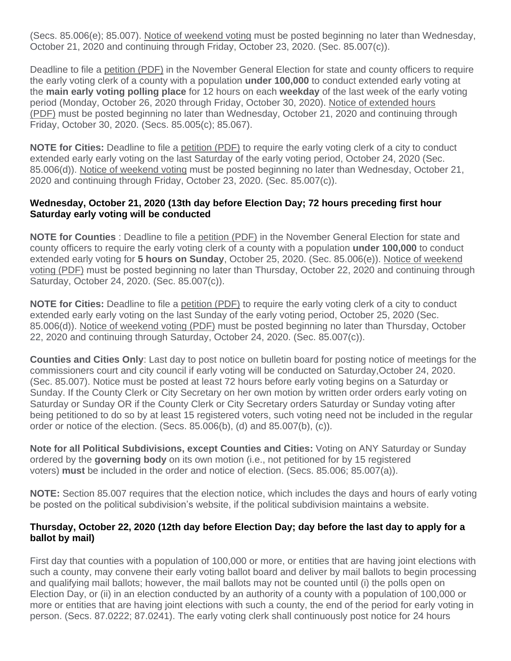(Secs. 85.006(e); 85.007). [Notice of weekend voting](http://www.sos.texas.gov/elections/forms/pol-sub/5-48f.pdf) must be posted beginning no later than Wednesday, October 21, 2020 and continuing through Friday, October 23, 2020. (Sec. 85.007(c)).

Deadline to file a [petition \(PDF\)](http://www.sos.texas.gov/elections/forms/pol-sub/5-50f.pdf) in the November General Election for state and county officers to require the early voting clerk of a county with a population **under 100,000** to conduct extended early voting at the **main early voting polling place** for 12 hours on each **weekday** of the last week of the early voting period (Monday, October 26, 2020 through Friday, October 30, 2020). [Notice of extended hours](http://www.sos.texas.gov/elections/forms/pol-sub/5-51f.pdf)  [\(PDF\)](http://www.sos.texas.gov/elections/forms/pol-sub/5-51f.pdf) must be posted beginning no later than Wednesday, October 21, 2020 and continuing through Friday, October 30, 2020. (Secs. 85.005(c); 85.067).

**NOTE for Cities:** Deadline to file a [petition \(PDF\)](http://www.sos.texas.gov/elections/forms/pol-sub/5-45f.pdf) to require the early voting clerk of a city to conduct extended early early voting on the last Saturday of the early voting period, October 24, 2020 (Sec. 85.006(d)). [Notice of weekend voting](http://www.sos.texas.gov/elections/forms/pol-sub/5-48f.pdf) must be posted beginning no later than Wednesday, October 21, 2020 and continuing through Friday, October 23, 2020. (Sec. 85.007(c)).

#### **Wednesday, October 21, 2020 (13th day before Election Day; 72 hours preceding first hour Saturday early voting will be conducted**

**NOTE for Counties** : Deadline to file a [petition \(PDF\)](http://www.sos.texas.gov/elections/forms/pol-sub/5-45f.pdf) in the November General Election for state and county officers to require the early voting clerk of a county with a population **under 100,000** to conduct extended early voting for **5 hours on Sunday**, October 25, 2020. (Sec. 85.006(e)). [Notice of weekend](http://www.sos.texas.gov/elections/forms/pol-sub/5-48f.pdf)  [voting \(PDF\)](http://www.sos.texas.gov/elections/forms/pol-sub/5-48f.pdf) must be posted beginning no later than Thursday, October 22, 2020 and continuing through Saturday, October 24, 2020. (Sec. 85.007(c)).

**NOTE for Cities:** Deadline to file a [petition \(PDF\)](http://www.sos.texas.gov/elections/forms/pol-sub/5-45f.pdf) to require the early voting clerk of a city to conduct extended early early voting on the last Sunday of the early voting period, October 25, 2020 (Sec. 85.006(d)). [Notice of weekend voting \(PDF\)](http://www.sos.texas.gov/elections/forms/pol-sub/5-48f.pdf) must be posted beginning no later than Thursday, October 22, 2020 and continuing through Saturday, October 24, 2020. (Sec. 85.007(c)).

**Counties and Cities Only**: Last day to post notice on bulletin board for posting notice of meetings for the commissioners court and city council if early voting will be conducted on Saturday,October 24, 2020. (Sec. 85.007). Notice must be posted at least 72 hours before early voting begins on a Saturday or Sunday. If the County Clerk or City Secretary on her own motion by written order orders early voting on Saturday or Sunday OR if the County Clerk or City Secretary orders Saturday or Sunday voting after being petitioned to do so by at least 15 registered voters, such voting need not be included in the regular order or notice of the election. (Secs. 85.006(b), (d) and 85.007(b), (c)).

**Note for all Political Subdivisions, except Counties and Cities:** Voting on ANY Saturday or Sunday ordered by the **governing body** on its own motion (i.e., not petitioned for by 15 registered voters) **must** be included in the order and notice of election. (Secs. 85.006; 85.007(a)).

**NOTE:** Section 85.007 requires that the election notice, which includes the days and hours of early voting be posted on the political subdivision's website, if the political subdivision maintains a website.

#### **Thursday, October 22, 2020 (12th day before Election Day; day before the last day to apply for a ballot by mail)**

First day that counties with a population of 100,000 or more, or entities that are having joint elections with such a county, may convene their early voting ballot board and deliver by mail ballots to begin processing and qualifying mail ballots; however, the mail ballots may not be counted until (i) the polls open on Election Day, or (ii) in an election conducted by an authority of a county with a population of 100,000 or more or entities that are having joint elections with such a county, the end of the period for early voting in person. (Secs. 87.0222; 87.0241). The early voting clerk shall continuously post notice for 24 hours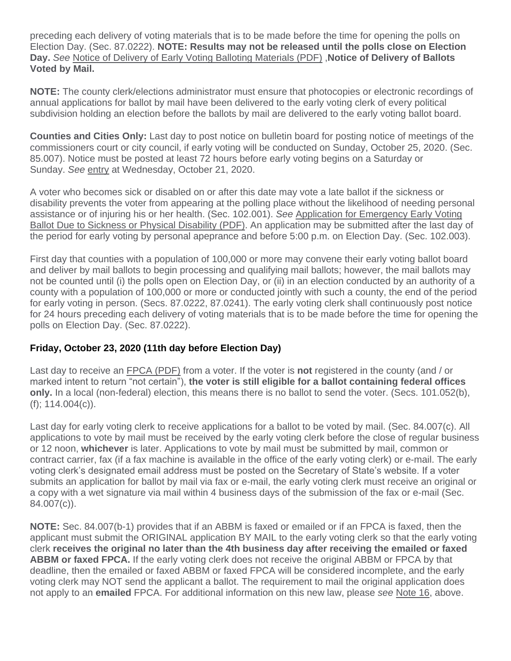preceding each delivery of voting materials that is to be made before the time for opening the polls on Election Day. (Sec. 87.0222). **NOTE: Results may not be released until the polls close on Election Day.** *See* [Notice of Delivery of Early Voting Balloting Materials \(PDF\)](http://www.sos.texas.gov/elections/forms/pol-sub/6-7f.pdf) ,**Notice of Delivery of Ballots Voted by Mail.**

**NOTE:** The county clerk/elections administrator must ensure that photocopies or electronic recordings of annual applications for ballot by mail have been delivered to the early voting clerk of every political subdivision holding an election before the ballots by mail are delivered to the early voting ballot board.

**Counties and Cities Only:** Last day to post notice on bulletin board for posting notice of meetings of the commissioners court or city council, if early voting will be conducted on Sunday, October 25, 2020. (Sec. 85.007). Notice must be posted at least 72 hours before early voting begins on a Saturday or Sunday. *See* [entry](https://www.sos.state.tx.us/elections/laws/advisory2020-17.shtml#October21) at Wednesday, October 21, 2020.

A voter who becomes sick or disabled on or after this date may vote a late ballot if the sickness or disability prevents the voter from appearing at the polling place without the likelihood of needing personal assistance or of injuring his or her health. (Sec. 102.001). *See* [Application for Emergency Early Voting](https://www.sos.texas.gov/elections/forms/pol-sub/5-25f.pdf)  [Ballot Due to Sickness or Physical Disability \(PDF\).](https://www.sos.texas.gov/elections/forms/pol-sub/5-25f.pdf) An application may be submitted after the last day of the period for early voting by personal apeprance and before 5:00 p.m. on Election Day. (Sec. 102.003).

First day that counties with a population of 100,000 or more may convene their early voting ballot board and deliver by mail ballots to begin processing and qualifying mail ballots; however, the mail ballots may not be counted until (i) the polls open on Election Day, or (ii) in an election conducted by an authority of a county with a population of 100,000 or more or conducted jointly with such a county, the end of the period for early voting in person. (Secs. 87.0222, 87.0241). The early voting clerk shall continuously post notice for 24 hours preceding each delivery of voting materials that is to be made before the time for opening the polls on Election Day. (Sec. 87.0222).

## **Friday, October 23, 2020 (11th day before Election Day)**

Last day to receive an [FPCA \(PDF\)](https://www.fvap.gov/uploads/FVAP/Forms/fpca.pdf) from a voter. If the voter is **not** registered in the county (and / or marked intent to return "not certain"), **the voter is still eligible for a ballot containing federal offices only.** In a local (non-federal) election, this means there is no ballot to send the voter. (Secs. 101.052(b), (f); 114.004(c)).

Last day for early voting clerk to receive applications for a ballot to be voted by mail. (Sec. 84.007(c). All applications to vote by mail must be received by the early voting clerk before the close of regular business or 12 noon, **whichever** is later. Applications to vote by mail must be submitted by mail, common or contract carrier, fax (if a fax machine is available in the office of the early voting clerk) or e-mail. The early voting clerk's designated email address must be posted on the Secretary of State's website. If a voter submits an application for ballot by mail via fax or e-mail, the early voting clerk must receive an original or a copy with a wet signature via mail within 4 business days of the submission of the fax or e-mail (Sec. 84.007(c)).

**NOTE:** Sec. 84.007(b-1) provides that if an ABBM is faxed or emailed or if an FPCA is faxed, then the applicant must submit the ORIGINAL application BY MAIL to the early voting clerk so that the early voting clerk **receives the original no later than the 4th business day after receiving the emailed or faxed ABBM or faxed FPCA.** If the early voting clerk does not receive the original ABBM or FPCA by that deadline, then the emailed or faxed ABBM or faxed FPCA will be considered incomplete, and the early voting clerk may NOT send the applicant a ballot. The requirement to mail the original application does not apply to an **emailed** FPCA. For additional information on this new law, please *see* [Note 16,](https://www.sos.state.tx.us/elections/laws/advisory2020-17.shtml#Note16) above.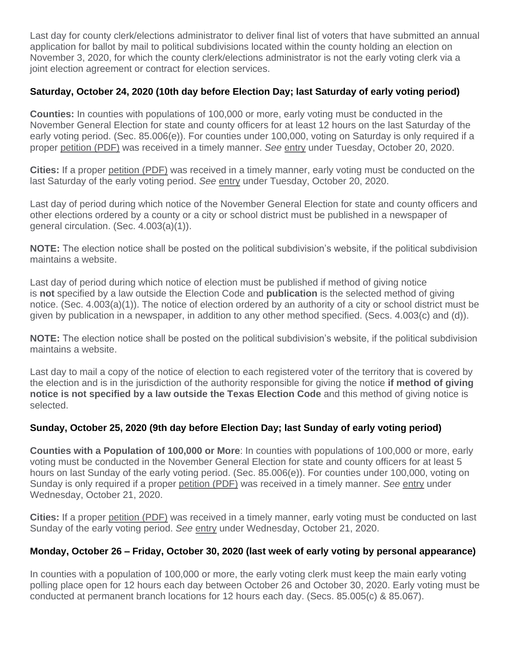Last day for county clerk/elections administrator to deliver final list of voters that have submitted an annual application for ballot by mail to political subdivisions located within the county holding an election on November 3, 2020, for which the county clerk/elections administrator is not the early voting clerk via a joint election agreement or contract for election services.

## **Saturday, October 24, 2020 (10th day before Election Day; last Saturday of early voting period)**

**Counties:** In counties with populations of 100,000 or more, early voting must be conducted in the November General Election for state and county officers for at least 12 hours on the last Saturday of the early voting period. (Sec. 85.006(e)). For counties under 100,000, voting on Saturday is only required if a proper [petition \(PDF\)](http://www.sos.texas.gov/elections/forms/pol-sub/5-45f.pdf) was received in a timely manner. *See* [entry](https://www.sos.state.tx.us/elections/laws/advisory2020-17.shtml#October20) under Tuesday, October 20, 2020.

**Cities:** If a proper [petition \(PDF\)](http://www.sos.texas.gov/elections/forms/pol-sub/5-45f.pdf) was received in a timely manner, early voting must be conducted on the last Saturday of the early voting period. *See* [entry](https://www.sos.state.tx.us/elections/laws/advisory2020-17.shtml#October20) under Tuesday, October 20, 2020.

Last day of period during which notice of the November General Election for state and county officers and other elections ordered by a county or a city or school district must be published in a newspaper of general circulation. (Sec. 4.003(a)(1)).

**NOTE:** The election notice shall be posted on the political subdivision's website, if the political subdivision maintains a website.

Last day of period during which notice of election must be published if method of giving notice is **not** specified by a law outside the Election Code and **publication** is the selected method of giving notice. (Sec. 4.003(a)(1)). The notice of election ordered by an authority of a city or school district must be given by publication in a newspaper, in addition to any other method specified. (Secs. 4.003(c) and (d)).

**NOTE:** The election notice shall be posted on the political subdivision's website, if the political subdivision maintains a website.

Last day to mail a copy of the notice of election to each registered voter of the territory that is covered by the election and is in the jurisdiction of the authority responsible for giving the notice **if method of giving notice is not specified by a law outside the Texas Election Code** and this method of giving notice is selected.

## **Sunday, October 25, 2020 (9th day before Election Day; last Sunday of early voting period)**

**Counties with a Population of 100,000 or More**: In counties with populations of 100,000 or more, early voting must be conducted in the November General Election for state and county officers for at least 5 hours on last Sunday of the early voting period. (Sec. 85.006(e)). For counties under 100,000, voting on Sunday is only required if a proper [petition \(PDF\)](http://www.sos.texas.gov/elections/forms/pol-sub/5-45f.pdf) was received in a timely manner. *See* [entry](https://www.sos.state.tx.us/elections/laws/advisory2020-17.shtml#October21) under Wednesday, October 21, 2020.

**Cities:** If a proper [petition \(PDF\)](http://www.sos.texas.gov/elections/forms/pol-sub/5-45f.pdf) was received in a timely manner, early voting must be conducted on last Sunday of the early voting period. *See* [entry](https://www.sos.state.tx.us/elections/laws/advisory2020-17.shtml#October21) under Wednesday, October 21, 2020.

## **Monday, October 26 – Friday, October 30, 2020 (last week of early voting by personal appearance)**

In counties with a population of 100,000 or more, the early voting clerk must keep the main early voting polling place open for 12 hours each day between October 26 and October 30, 2020. Early voting must be conducted at permanent branch locations for 12 hours each day. (Secs. 85.005(c) & 85.067).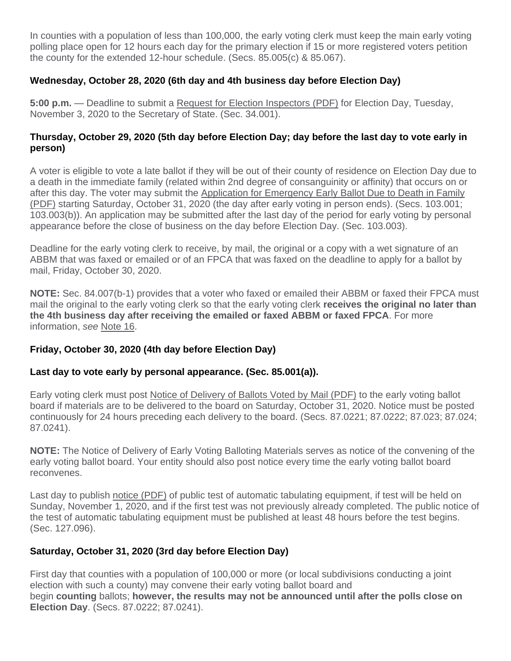In counties with a population of less than 100,000, the early voting clerk must keep the main early voting polling place open for 12 hours each day for the primary election if 15 or more registered voters petition the county for the extended 12-hour schedule. (Secs. 85.005(c) & 85.067).

## **Wednesday, October 28, 2020 (6th day and 4th business day before Election Day)**

**5:00 p.m.** — Deadline to submit a [Request for Election Inspectors \(PDF\)](http://www.sos.texas.gov/elections/forms/pol-sub/4-19f.pdf) for Election Day, Tuesday, November 3, 2020 to the Secretary of State. (Sec. 34.001).

## **Thursday, October 29, 2020 (5th day before Election Day; day before the last day to vote early in person)**

A voter is eligible to vote a late ballot if they will be out of their county of residence on Election Day due to a death in the immediate family (related within 2nd degree of consanguinity or affinity) that occurs on or after this day. The voter may submit the [Application for Emergency Early Ballot Due to Death in Family](http://www.sos.texas.gov/elections/forms/pol-sub/5-24f.pdf)  [\(PDF\)](http://www.sos.texas.gov/elections/forms/pol-sub/5-24f.pdf) starting Saturday, October 31, 2020 (the day after early voting in person ends). (Secs. 103.001; 103.003(b)). An application may be submitted after the last day of the period for early voting by personal appearance before the close of business on the day before Election Day. (Sec. 103.003).

Deadline for the early voting clerk to receive, by mail, the original or a copy with a wet signature of an ABBM that was faxed or emailed or of an FPCA that was faxed on the deadline to apply for a ballot by mail, Friday, October 30, 2020.

**NOTE:** Sec. 84.007(b-1) provides that a voter who faxed or emailed their ABBM or faxed their FPCA must mail the original to the early voting clerk so that the early voting clerk **receives the original no later than the 4th business day after receiving the emailed or faxed ABBM or faxed FPCA**. For more information, *see* [Note 16.](https://www.sos.state.tx.us/elections/laws/advisory2020-17.shtml#Note16)

## **Friday, October 30, 2020 (4th day before Election Day)**

## **Last day to vote early by personal appearance. (Sec. 85.001(a)).**

Early voting clerk must post [Notice of Delivery of Ballots Voted by Mail \(PDF\)](http://www.sos.texas.gov/elections/forms/pol-sub/6-6f.pdf) to the early voting ballot board if materials are to be delivered to the board on Saturday, October 31, 2020. Notice must be posted continuously for 24 hours preceding each delivery to the board. (Secs. 87.0221; 87.0222; 87.023; 87.024; 87.0241).

**NOTE:** The Notice of Delivery of Early Voting Balloting Materials serves as notice of the convening of the early voting ballot board. Your entity should also post notice every time the early voting ballot board reconvenes.

Last day to publish [notice \(PDF\)](http://www.sos.texas.gov/elections/forms/pol-sub/6-1f.pdf) of public test of automatic tabulating equipment, if test will be held on Sunday, November 1, 2020, and if the first test was not previously already completed. The public notice of the test of automatic tabulating equipment must be published at least 48 hours before the test begins. (Sec. 127.096).

## **Saturday, October 31, 2020 (3rd day before Election Day)**

First day that counties with a population of 100,000 or more (or local subdivisions conducting a joint election with such a county) may convene their early voting ballot board and begin **counting** ballots; **however, the results may not be announced until after the polls close on Election Day**. (Secs. 87.0222; 87.0241).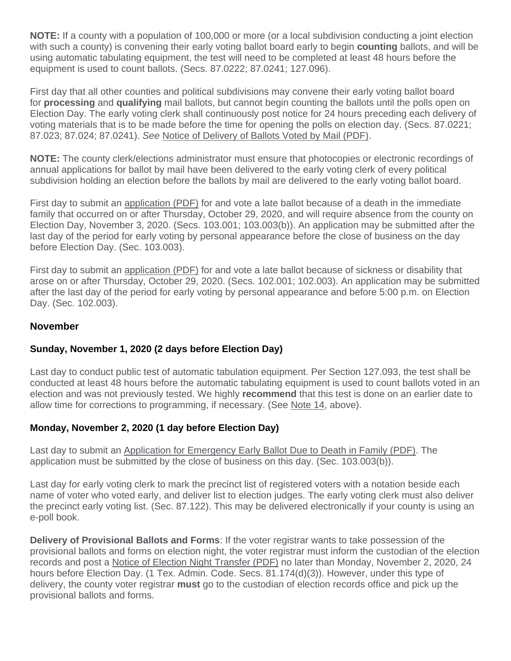**NOTE:** If a county with a population of 100,000 or more (or a local subdivision conducting a joint election with such a county) is convening their early voting ballot board early to begin **counting** ballots, and will be using automatic tabulating equipment, the test will need to be completed at least 48 hours before the equipment is used to count ballots. (Secs. 87.0222; 87.0241; 127.096).

First day that all other counties and political subdivisions may convene their early voting ballot board for **processing** and **qualifying** mail ballots, but cannot begin counting the ballots until the polls open on Election Day. The early voting clerk shall continuously post notice for 24 hours preceding each delivery of voting materials that is to be made before the time for opening the polls on election day. (Secs. 87.0221; 87.023; 87.024; 87.0241). *See* [Notice of Delivery of Ballots Voted by Mail \(PDF\).](http://www.sos.texas.gov/elections/forms/pol-sub/6-6f.pdf)

**NOTE:** The county clerk/elections administrator must ensure that photocopies or electronic recordings of annual applications for ballot by mail have been delivered to the early voting clerk of every political subdivision holding an election before the ballots by mail are delivered to the early voting ballot board.

First day to submit an [application \(PDF\)](http://www.sos.texas.gov/elections/forms/pol-sub/5-24f.pdf) for and vote a late ballot because of a death in the immediate family that occurred on or after Thursday, October 29, 2020, and will require absence from the county on Election Day, November 3, 2020. (Secs. 103.001; 103.003(b)). An application may be submitted after the last day of the period for early voting by personal appearance before the close of business on the day before Election Day. (Sec. 103.003).

First day to submit an [application \(PDF\)](http://www.sos.state.tx.us/elections/forms/pol-sub/5-25f.pdf) for and vote a late ballot because of sickness or disability that arose on or after Thursday, October 29, 2020. (Secs. 102.001; 102.003). An application may be submitted after the last day of the period for early voting by personal appearance and before 5:00 p.m. on Election Day. (Sec. 102.003).

## **November**

## **Sunday, November 1, 2020 (2 days before Election Day)**

Last day to conduct public test of automatic tabulation equipment. Per Section 127.093, the test shall be conducted at least 48 hours before the automatic tabulating equipment is used to count ballots voted in an election and was not previously tested. We highly **recommend** that this test is done on an earlier date to allow time for corrections to programming, if necessary. (See [Note 14,](https://www.sos.state.tx.us/elections/laws/advisory2020-17.shtml#Note14) above).

## **Monday, November 2, 2020 (1 day before Election Day)**

Last day to submit an [Application for Emergency Early Ballot Due to Death in Family \(PDF\).](http://www.sos.texas.gov/elections/forms/pol-sub/5-24f.pdf) The application must be submitted by the close of business on this day. (Sec. 103.003(b)).

Last day for early voting clerk to mark the precinct list of registered voters with a notation beside each name of voter who voted early, and deliver list to election judges. The early voting clerk must also deliver the precinct early voting list. (Sec. 87.122). This may be delivered electronically if your county is using an e-poll book.

**Delivery of Provisional Ballots and Forms**: If the voter registrar wants to take possession of the provisional ballots and forms on election night, the voter registrar must inform the custodian of the election records and post a [Notice of Election Night Transfer \(PDF\)](http://www.sos.texas.gov/elections/forms/pol-sub/8-19af.pdf) no later than Monday, November 2, 2020, 24 hours before Election Day. (1 Tex. Admin. Code. Secs. 81.174(d)(3)). However, under this type of delivery, the county voter registrar **must** go to the custodian of election records office and pick up the provisional ballots and forms.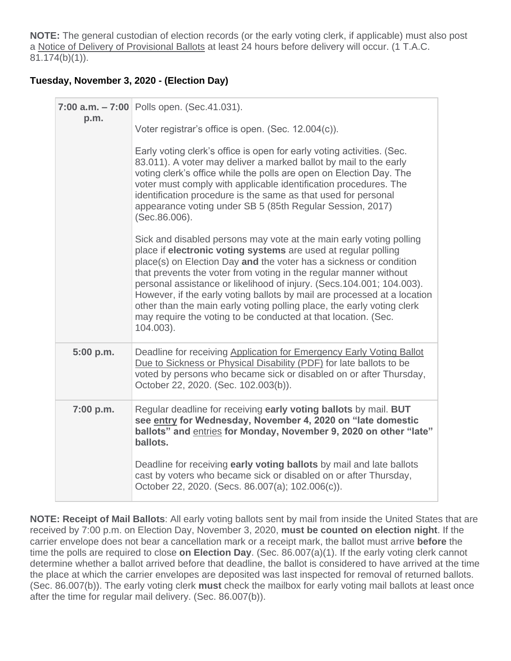**NOTE:** The general custodian of election records (or the early voting clerk, if applicable) must also post a [Notice of Delivery of Provisional Ballots](http://www.sos.texas.gov/elections/forms/pol-sub/8-19af.pdf) at least 24 hours before delivery will occur. (1 T.A.C. 81.174(b)(1)).

## **Tuesday, November 3, 2020 - (Election Day)**

| p.m.      | 7:00 a.m. - 7:00 Polls open. (Sec.41.031).                                                                                                                                                                                                                                                                                                                                                                                                                                                                                                                                                      |  |  |  |  |  |
|-----------|-------------------------------------------------------------------------------------------------------------------------------------------------------------------------------------------------------------------------------------------------------------------------------------------------------------------------------------------------------------------------------------------------------------------------------------------------------------------------------------------------------------------------------------------------------------------------------------------------|--|--|--|--|--|
|           | Voter registrar's office is open. (Sec. 12.004(c)).                                                                                                                                                                                                                                                                                                                                                                                                                                                                                                                                             |  |  |  |  |  |
|           | Early voting clerk's office is open for early voting activities. (Sec.<br>83.011). A voter may deliver a marked ballot by mail to the early<br>voting clerk's office while the polls are open on Election Day. The<br>voter must comply with applicable identification procedures. The<br>identification procedure is the same as that used for personal<br>appearance voting under SB 5 (85th Regular Session, 2017).<br>(Sec.86.006).                                                                                                                                                         |  |  |  |  |  |
|           | Sick and disabled persons may vote at the main early voting polling<br>place if electronic voting systems are used at regular polling<br>place(s) on Election Day and the voter has a sickness or condition<br>that prevents the voter from voting in the regular manner without<br>personal assistance or likelihood of injury. (Secs. 104.001; 104.003).<br>However, if the early voting ballots by mail are processed at a location<br>other than the main early voting polling place, the early voting clerk<br>may require the voting to be conducted at that location. (Sec.<br>104.003). |  |  |  |  |  |
| 5:00 p.m. | Deadline for receiving Application for Emergency Early Voting Ballot<br>Due to Sickness or Physical Disability (PDF) for late ballots to be<br>voted by persons who became sick or disabled on or after Thursday,<br>October 22, 2020. (Sec. 102.003(b)).                                                                                                                                                                                                                                                                                                                                       |  |  |  |  |  |
| 7:00 p.m. | Regular deadline for receiving early voting ballots by mail. BUT<br>see entry for Wednesday, November 4, 2020 on "late domestic<br>ballots" and <b>entries</b> for Monday, November 9, 2020 on other "late"<br>ballots.                                                                                                                                                                                                                                                                                                                                                                         |  |  |  |  |  |
|           | Deadline for receiving early voting ballots by mail and late ballots<br>cast by voters who became sick or disabled on or after Thursday,<br>October 22, 2020. (Secs. 86.007(a); 102.006(c)).                                                                                                                                                                                                                                                                                                                                                                                                    |  |  |  |  |  |

**NOTE: Receipt of Mail Ballots**: All early voting ballots sent by mail from inside the United States that are received by 7:00 p.m. on Election Day, November 3, 2020, **must be counted on election night**. If the carrier envelope does not bear a cancellation mark or a receipt mark, the ballot must arrive **before** the time the polls are required to close **on Election Day**. (Sec. 86.007(a)(1). If the early voting clerk cannot determine whether a ballot arrived before that deadline, the ballot is considered to have arrived at the time the place at which the carrier envelopes are deposited was last inspected for removal of returned ballots. (Sec. 86.007(b)). The early voting clerk **must** check the mailbox for early voting mail ballots at least once after the time for regular mail delivery. (Sec. 86.007(b)).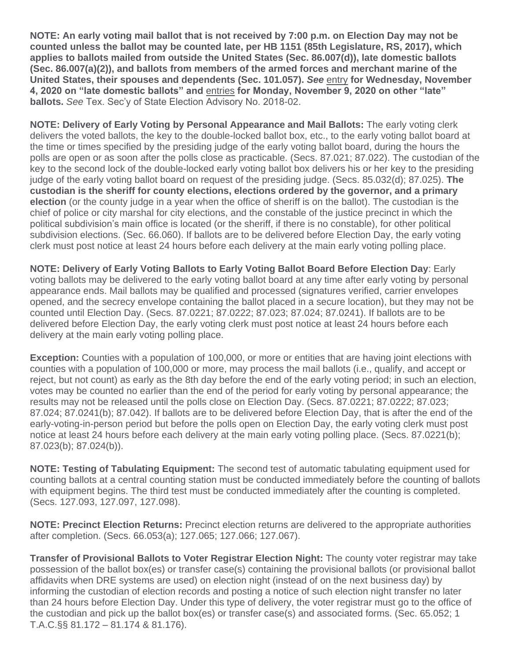**NOTE: An early voting mail ballot that is not received by 7:00 p.m. on Election Day may not be counted unless the ballot may be counted late, per HB 1151 (85th Legislature, RS, 2017), which applies to ballots mailed from outside the United States (Sec. 86.007(d)), late domestic ballots (Sec. 86.007(a)(2)), and ballots from members of the armed forces and merchant marine of the United States, their spouses and dependents (Sec. 101.057).** *See* [entry](https://www.sos.state.tx.us/elections/laws/advisory2020-17.shtml#Novembe4) **for Wednesday, November 4, 2020 on "late domestic ballots" and** [entries](https://www.sos.state.tx.us/elections/laws/advisory2020-17.shtml#November9) **for Monday, November 9, 2020 on other "late" ballots.** *See* Tex. Sec'y of State Election Advisory No. 2018-02.

**NOTE: Delivery of Early Voting by Personal Appearance and Mail Ballots:** The early voting clerk delivers the voted ballots, the key to the double-locked ballot box, etc., to the early voting ballot board at the time or times specified by the presiding judge of the early voting ballot board, during the hours the polls are open or as soon after the polls close as practicable. (Secs. 87.021; 87.022). The custodian of the key to the second lock of the double-locked early voting ballot box delivers his or her key to the presiding judge of the early voting ballot board on request of the presiding judge. (Secs. 85.032(d); 87.025). **The custodian is the sheriff for county elections, elections ordered by the governor, and a primary election** (or the county judge in a year when the office of sheriff is on the ballot). The custodian is the chief of police or city marshal for city elections, and the constable of the justice precinct in which the political subdivision's main office is located (or the sheriff, if there is no constable), for other political subdivision elections. (Sec. 66.060). If ballots are to be delivered before Election Day, the early voting clerk must post notice at least 24 hours before each delivery at the main early voting polling place.

**NOTE: Delivery of Early Voting Ballots to Early Voting Ballot Board Before Election Day**: Early voting ballots may be delivered to the early voting ballot board at any time after early voting by personal appearance ends. Mail ballots may be qualified and processed (signatures verified, carrier envelopes opened, and the secrecy envelope containing the ballot placed in a secure location), but they may not be counted until Election Day. (Secs. 87.0221; 87.0222; 87.023; 87.024; 87.0241). If ballots are to be delivered before Election Day, the early voting clerk must post notice at least 24 hours before each delivery at the main early voting polling place.

**Exception:** Counties with a population of 100,000, or more or entities that are having joint elections with counties with a population of 100,000 or more, may process the mail ballots (i.e., qualify, and accept or reject, but not count) as early as the 8th day before the end of the early voting period; in such an election, votes may be counted no earlier than the end of the period for early voting by personal appearance; the results may not be released until the polls close on Election Day. (Secs. 87.0221; 87.0222; 87.023; 87.024; 87.0241(b); 87.042). If ballots are to be delivered before Election Day, that is after the end of the early-voting-in-person period but before the polls open on Election Day, the early voting clerk must post notice at least 24 hours before each delivery at the main early voting polling place. (Secs. 87.0221(b); 87.023(b); 87.024(b)).

**NOTE: Testing of Tabulating Equipment:** The second test of automatic tabulating equipment used for counting ballots at a central counting station must be conducted immediately before the counting of ballots with equipment begins. The third test must be conducted immediately after the counting is completed. (Secs. 127.093, 127.097, 127.098).

**NOTE: Precinct Election Returns:** Precinct election returns are delivered to the appropriate authorities after completion. (Secs. 66.053(a); 127.065; 127.066; 127.067).

**Transfer of Provisional Ballots to Voter Registrar Election Night:** The county voter registrar may take possession of the ballot box(es) or transfer case(s) containing the provisional ballots (or provisional ballot affidavits when DRE systems are used) on election night (instead of on the next business day) by informing the custodian of election records and posting a notice of such election night transfer no later than 24 hours before Election Day. Under this type of delivery, the voter registrar must go to the office of the custodian and pick up the ballot box(es) or transfer case(s) and associated forms. (Sec. 65.052; 1 T.A.C.§§ 81.172 – 81.174 & 81.176).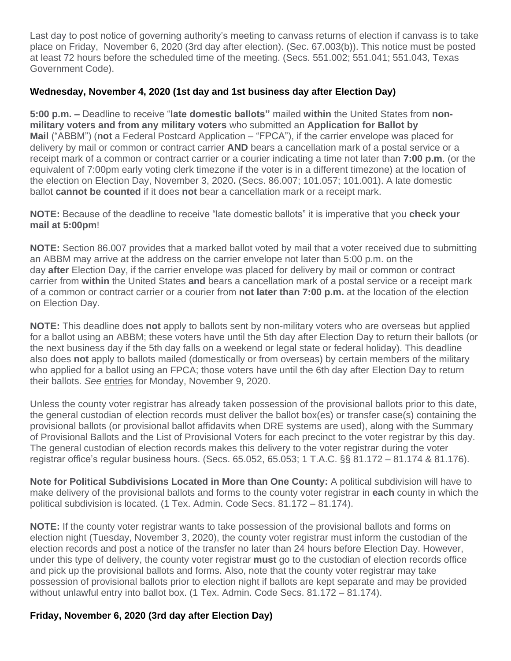Last day to post notice of governing authority's meeting to canvass returns of election if canvass is to take place on Friday, November 6, 2020 (3rd day after election). (Sec. 67.003(b)). This notice must be posted at least 72 hours before the scheduled time of the meeting. (Secs. 551.002; 551.041; 551.043, Texas Government Code).

## **Wednesday, November 4, 2020 (1st day and 1st business day after Election Day)**

**5:00 p.m. –** Deadline to receive "**late domestic ballots"** mailed **within** the United States from **nonmilitary voters and from any military voters** who submitted an **Application for Ballot by Mail** ("ABBM") (**not** a Federal Postcard Application – "FPCA"), if the carrier envelope was placed for delivery by mail or common or contract carrier **AND** bears a cancellation mark of a postal service or a receipt mark of a common or contract carrier or a courier indicating a time not later than **7:00 p.m**. (or the equivalent of 7:00pm early voting clerk timezone if the voter is in a different timezone) at the location of the election on Election Day, November 3, 2020**.** (Secs. 86.007; 101.057; 101.001). A late domestic ballot **cannot be counted** if it does **not** bear a cancellation mark or a receipt mark.

**NOTE:** Because of the deadline to receive "late domestic ballots" it is imperative that you **check your mail at 5:00pm**!

**NOTE:** Section 86.007 provides that a marked ballot voted by mail that a voter received due to submitting an ABBM may arrive at the address on the carrier envelope not later than 5:00 p.m. on the day **after** Election Day, if the carrier envelope was placed for delivery by mail or common or contract carrier from **within** the United States **and** bears a cancellation mark of a postal service or a receipt mark of a common or contract carrier or a courier from **not later than 7:00 p.m.** at the location of the election on Election Day.

**NOTE:** This deadline does **not** apply to ballots sent by non-military voters who are overseas but applied for a ballot using an ABBM; these voters have until the 5th day after Election Day to return their ballots (or the next business day if the 5th day falls on a weekend or legal state or federal holiday). This deadline also does **not** apply to ballots mailed (domestically or from overseas) by certain members of the military who applied for a ballot using an FPCA; those voters have until the 6th day after Election Day to return their ballots. *See* [entries](https://www.sos.state.tx.us/elections/laws/advisory2020-17.shtml#November9) for Monday, November 9, 2020.

Unless the county voter registrar has already taken possession of the provisional ballots prior to this date, the general custodian of election records must deliver the ballot box(es) or transfer case(s) containing the provisional ballots (or provisional ballot affidavits when DRE systems are used), along with the Summary of Provisional Ballots and the List of Provisional Voters for each precinct to the voter registrar by this day. The general custodian of election records makes this delivery to the voter registrar during the voter registrar office's regular business hours. (Secs. 65.052, 65.053; 1 T.A.C. §§ 81.172 – 81.174 & 81.176).

**Note for Political Subdivisions Located in More than One County:** A political subdivision will have to make delivery of the provisional ballots and forms to the county voter registrar in **each** county in which the political subdivision is located. (1 Tex. Admin. Code Secs. 81.172 – 81.174).

**NOTE:** If the county voter registrar wants to take possession of the provisional ballots and forms on election night (Tuesday, November 3, 2020), the county voter registrar must inform the custodian of the election records and post a notice of the transfer no later than 24 hours before Election Day. However, under this type of delivery, the county voter registrar **must** go to the custodian of election records office and pick up the provisional ballots and forms. Also, note that the county voter registrar may take possession of provisional ballots prior to election night if ballots are kept separate and may be provided without unlawful entry into ballot box. (1 Tex. Admin. Code Secs. 81.172 – 81.174).

## **Friday, November 6, 2020 (3rd day after Election Day)**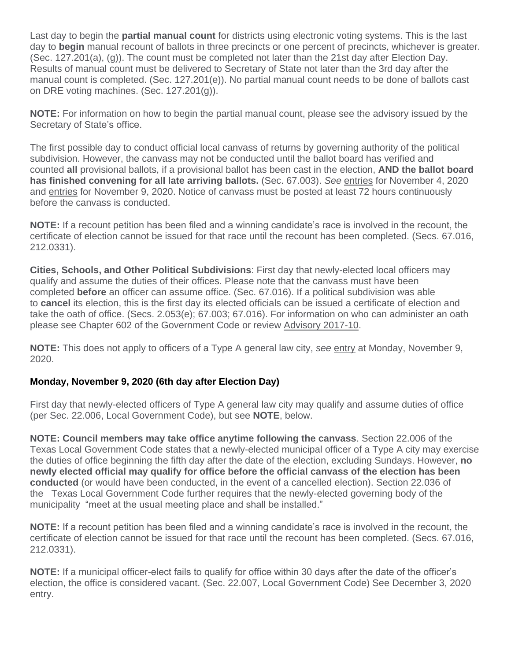Last day to begin the **partial manual count** for districts using electronic voting systems. This is the last day to **begin** manual recount of ballots in three precincts or one percent of precincts, whichever is greater. (Sec. 127.201(a), (g)). The count must be completed not later than the 21st day after Election Day. Results of manual count must be delivered to Secretary of State not later than the 3rd day after the manual count is completed. (Sec. 127.201(e)). No partial manual count needs to be done of ballots cast on DRE voting machines. (Sec. 127.201(g)).

**NOTE:** For information on how to begin the partial manual count, please see the advisory issued by the Secretary of State's office.

The first possible day to conduct official local canvass of returns by governing authority of the political subdivision. However, the canvass may not be conducted until the ballot board has verified and counted **all** provisional ballots, if a provisional ballot has been cast in the election, **AND the ballot board has finished convening for all late arriving ballots.** (Sec. 67.003). *See* [entries](https://www.sos.state.tx.us/elections/laws/advisory2020-17.shtml#November4) for November 4, 2020 and [entries](https://www.sos.state.tx.us/elections/laws/advisory2020-17.shtml#November9) for November 9, 2020. Notice of canvass must be posted at least 72 hours continuously before the canvass is conducted.

**NOTE:** If a recount petition has been filed and a winning candidate's race is involved in the recount, the certificate of election cannot be issued for that race until the recount has been completed. (Secs. 67.016, 212.0331).

**Cities, Schools, and Other Political Subdivisions**: First day that newly-elected local officers may qualify and assume the duties of their offices. Please note that the canvass must have been completed **before** an officer can assume office. (Sec. 67.016). If a political subdivision was able to **cancel** its election, this is the first day its elected officials can be issued a certificate of election and take the oath of office. (Secs. 2.053(e); 67.003; 67.016). For information on who can administer an oath please see Chapter 602 of the Government Code or review [Advisory 2017-10.](https://www.sos.texas.gov/elections/laws/advisory2017-10.shtml)

**NOTE:** This does not apply to officers of a Type A general law city, *see* [entry](https://www.sos.state.tx.us/elections/laws/advisory2020-17.shtml#November12) at Monday, November 9, 2020.

## **Monday, November 9, 2020 (6th day after Election Day)**

First day that newly-elected officers of Type A general law city may qualify and assume duties of office (per Sec. 22.006, Local Government Code), but see **NOTE**, below.

**NOTE: Council members may take office anytime following the canvass**. Section 22.006 of the Texas Local Government Code states that a newly-elected municipal officer of a Type A city may exercise the duties of office beginning the fifth day after the date of the election, excluding Sundays. However, **no newly elected official may qualify for office before the official canvass of the election has been conducted** (or would have been conducted, in the event of a cancelled election). Section 22.036 of the Texas Local Government Code further requires that the newly-elected governing body of the municipality "meet at the usual meeting place and shall be installed."

**NOTE:** If a recount petition has been filed and a winning candidate's race is involved in the recount, the certificate of election cannot be issued for that race until the recount has been completed. (Secs. 67.016, 212.0331).

**NOTE:** If a municipal officer-elect fails to qualify for office within 30 days after the date of the officer's election, the office is considered vacant. (Sec. 22.007, Local Government Code) See December 3, 2020 entry.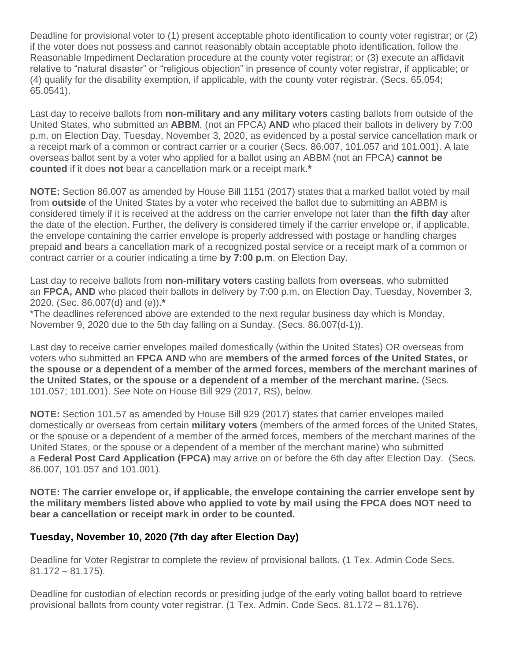Deadline for provisional voter to (1) present acceptable photo identification to county voter registrar; or (2) if the voter does not possess and cannot reasonably obtain acceptable photo identification, follow the Reasonable Impediment Declaration procedure at the county voter registrar; or (3) execute an affidavit relative to "natural disaster" or "religious objection" in presence of county voter registrar, if applicable; or (4) qualify for the disability exemption, if applicable, with the county voter registrar. (Secs. 65.054; 65.0541).

Last day to receive ballots from **non-military and any military voters** casting ballots from outside of the United States, who submitted an **ABBM**, (not an FPCA) **AND** who placed their ballots in delivery by 7:00 p.m. on Election Day, Tuesday, November 3, 2020, as evidenced by a postal service cancellation mark or a receipt mark of a common or contract carrier or a courier (Secs. 86.007, 101.057 and 101.001). A late overseas ballot sent by a voter who applied for a ballot using an ABBM (not an FPCA) **cannot be counted** if it does **not** bear a cancellation mark or a receipt mark.**\***

**NOTE:** Section 86.007 as amended by House Bill 1151 (2017) states that a marked ballot voted by mail from **outside** of the United States by a voter who received the ballot due to submitting an ABBM is considered timely if it is received at the address on the carrier envelope not later than **the fifth day** after the date of the election. Further, the delivery is considered timely if the carrier envelope or, if applicable, the envelope containing the carrier envelope is properly addressed with postage or handling charges prepaid **and** bears a cancellation mark of a recognized postal service or a receipt mark of a common or contract carrier or a courier indicating a time **by 7:00 p.m**. on Election Day.

Last day to receive ballots from **non-military voters** casting ballots from **overseas**, who submitted an **FPCA, AND** who placed their ballots in delivery by 7:00 p.m. on Election Day, Tuesday, November 3, 2020. (Sec. 86.007(d) and (e)).**\***

\*The deadlines referenced above are extended to the next regular business day which is Monday, November 9, 2020 due to the 5th day falling on a Sunday. (Secs. 86.007(d-1)).

Last day to receive carrier envelopes mailed domestically (within the United States) OR overseas from voters who submitted an **FPCA AND** who are **members of the armed forces of the United States, or the spouse or a dependent of a member of the armed forces, members of the merchant marines of the United States, or the spouse or a dependent of a member of the merchant marine.** (Secs. 101.057; 101.001). *See* Note on House Bill 929 (2017, RS), below.

**NOTE:** Section 101.57 as amended by House Bill 929 (2017) states that carrier envelopes mailed domestically or overseas from certain **military voters** (members of the armed forces of the United States, or the spouse or a dependent of a member of the armed forces, members of the merchant marines of the United States, or the spouse or a dependent of a member of the merchant marine) who submitted a **Federal Post Card Application (FPCA)** may arrive on or before the 6th day after Election Day. (Secs. 86.007, 101.057 and 101.001).

**NOTE: The carrier envelope or, if applicable, the envelope containing the carrier envelope sent by the military members listed above who applied to vote by mail using the FPCA does NOT need to bear a cancellation or receipt mark in order to be counted.**

## **Tuesday, November 10, 2020 (7th day after Election Day)**

Deadline for Voter Registrar to complete the review of provisional ballots. (1 Tex. Admin Code Secs. 81.172 – 81.175).

Deadline for custodian of election records or presiding judge of the early voting ballot board to retrieve provisional ballots from county voter registrar. (1 Tex. Admin. Code Secs. 81.172 – 81.176).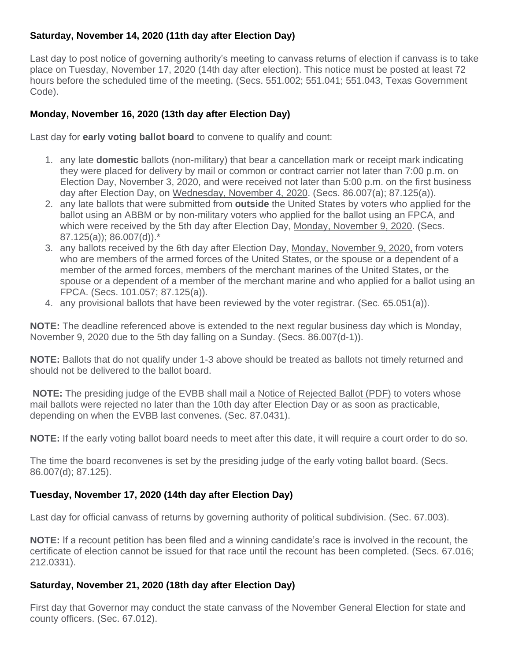## **Saturday, November 14, 2020 (11th day after Election Day)**

Last day to post notice of governing authority's meeting to canvass returns of election if canvass is to take place on Tuesday, November 17, 2020 (14th day after election). This notice must be posted at least 72 hours before the scheduled time of the meeting. (Secs. 551.002; 551.041; 551.043, Texas Government Code).

## **Monday, November 16, 2020 (13th day after Election Day)**

Last day for **early voting ballot board** to convene to qualify and count:

- 1. any late **domestic** ballots (non-military) that bear a cancellation mark or receipt mark indicating they were placed for delivery by mail or common or contract carrier not later than 7:00 p.m. on Election Day, November 3, 2020, and were received not later than 5:00 p.m. on the first business day after Election Day, on [Wednesday, November 4, 2020.](https://www.sos.state.tx.us/elections/laws/advisory2020-17.shtml#November4) (Secs. 86.007(a); 87.125(a)).
- 2. any late ballots that were submitted from **outside** the United States by voters who applied for the ballot using an ABBM or by non-military voters who applied for the ballot using an FPCA, and which were received by the 5th day after Election Day, [Monday, November 9, 2020.](https://www.sos.state.tx.us/elections/laws/advisory2020-17.shtml#November9) (Secs. 87.125(a)); 86.007(d)).\*
- 3. any ballots received by the 6th day after Election Day, [Monday, November 9, 2020,](https://www.sos.state.tx.us/elections/laws/advisory2020-17.shtml#November9) from voters who are members of the armed forces of the United States, or the spouse or a dependent of a member of the armed forces, members of the merchant marines of the United States, or the spouse or a dependent of a member of the merchant marine and who applied for a ballot using an FPCA. (Secs. 101.057; 87.125(a)).
- 4. any provisional ballots that have been reviewed by the voter registrar. (Sec. 65.051(a)).

**NOTE:** The deadline referenced above is extended to the next regular business day which is Monday, November 9, 2020 due to the 5th day falling on a Sunday. (Secs. 86.007(d-1)).

**NOTE:** Ballots that do not qualify under 1-3 above should be treated as ballots not timely returned and should not be delivered to the ballot board.

**NOTE:** The presiding judge of the EVBB shall mail a [Notice of Rejected Ballot \(PDF\)](http://www.sos.texas.gov/elections/forms/pol-sub/5-42f.pdf) to voters whose mail ballots were rejected no later than the 10th day after Election Day or as soon as practicable, depending on when the EVBB last convenes. (Sec. 87.0431).

**NOTE:** If the early voting ballot board needs to meet after this date, it will require a court order to do so.

The time the board reconvenes is set by the presiding judge of the early voting ballot board. (Secs. 86.007(d); 87.125).

## **Tuesday, November 17, 2020 (14th day after Election Day)**

Last day for official canvass of returns by governing authority of political subdivision. (Sec. 67.003).

**NOTE:** If a recount petition has been filed and a winning candidate's race is involved in the recount, the certificate of election cannot be issued for that race until the recount has been completed. (Secs. 67.016; 212.0331).

## **Saturday, November 21, 2020 (18th day after Election Day)**

First day that Governor may conduct the state canvass of the November General Election for state and county officers. (Sec. 67.012).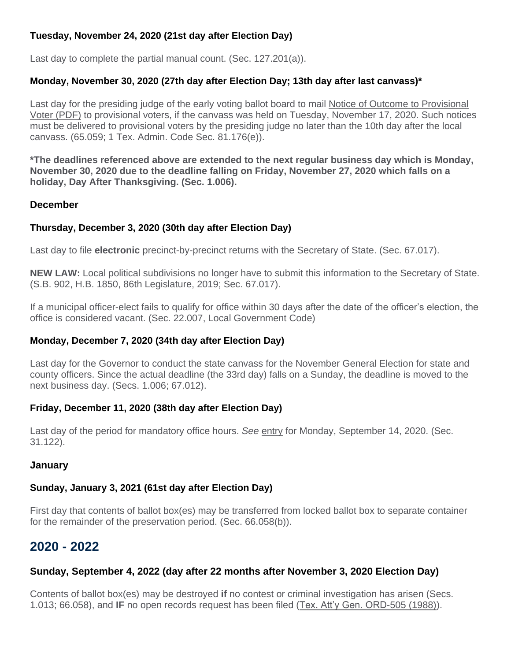## **Tuesday, November 24, 2020 (21st day after Election Day)**

Last day to complete the partial manual count. (Sec. 127.201(a)).

## **Monday, November 30, 2020 (27th day after Election Day; 13th day after last canvass)\***

Last day for the presiding judge of the early voting ballot board to mail [Notice of Outcome to Provisional](http://www.sos.texas.gov/elections/forms/pol-sub/8-17f.pdf)  [Voter \(PDF\)](http://www.sos.texas.gov/elections/forms/pol-sub/8-17f.pdf) to provisional voters, if the canvass was held on Tuesday, November 17, 2020. Such notices must be delivered to provisional voters by the presiding judge no later than the 10th day after the local canvass. (65.059; 1 Tex. Admin. Code Sec. 81.176(e)).

**\*The deadlines referenced above are extended to the next regular business day which is Monday, November 30, 2020 due to the deadline falling on Friday, November 27, 2020 which falls on a holiday, Day After Thanksgiving. (Sec. 1.006).**

#### **December**

## **Thursday, December 3, 2020 (30th day after Election Day)**

Last day to file **electronic** precinct-by-precinct returns with the Secretary of State. (Sec. 67.017).

**NEW LAW:** Local political subdivisions no longer have to submit this information to the Secretary of State. (S.B. 902, H.B. 1850, 86th Legislature, 2019; Sec. 67.017).

If a municipal officer-elect fails to qualify for office within 30 days after the date of the officer's election, the office is considered vacant. (Sec. 22.007, Local Government Code)

## **Monday, December 7, 2020 (34th day after Election Day)**

Last day for the Governor to conduct the state canvass for the November General Election for state and county officers. Since the actual deadline (the 33rd day) falls on a Sunday, the deadline is moved to the next business day. (Secs. 1.006; 67.012).

## **Friday, December 11, 2020 (38th day after Election Day)**

Last day of the period for mandatory office hours. See [entry](https://www.sos.state.tx.us/elections/laws/advisory2020-17.shtml#September14) for Monday, September 14, 2020. (Sec. 31.122).

## **January**

## **Sunday, January 3, 2021 (61st day after Election Day)**

First day that contents of ballot box(es) may be transferred from locked ballot box to separate container for the remainder of the preservation period. (Sec. 66.058(b)).

## **2020 - 2022**

## **Sunday, September 4, 2022 (day after 22 months after November 3, 2020 Election Day)**

Contents of ballot box(es) may be destroyed **if** no contest or criminal investigation has arisen (Secs. 1.013; 66.058), and **IF** no open records request has been filed [\(Tex. Att'y Gen. ORD-505 \(1988\)\)](https://www2.texasattorneygeneral.gov/opinions/openrecords/47mattox/ord/1988/htm/ord19880505.txt).